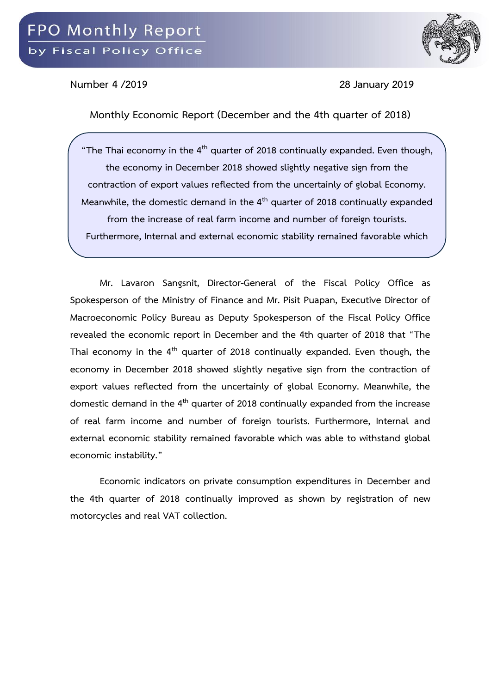

**Number 4 /2019 28 January 2019**

## **Monthly Economic Report (December and the 4th quarter of 2018)**

**"The Thai economy in the 4th quarter of 2018 continually expanded. Even though, the economy in December 2018 showed slightly negative sign from the contraction of export values reflected from the uncertainly of global Economy. Meanwhile, the domestic demand in the 4th quarter of 2018 continually expanded from the increase of real farm income and number of foreign tourists. Furthermore, Internal and external economic stability remained favorable which** 

**was able to withstand global economic instability."** 

**Mr. Lavaron Sangsnit, Director-General of the Fiscal Policy Office as Spokesperson of the Ministry of Finance and Mr. Pisit Puapan, Executive Director of Macroeconomic Policy Bureau as Deputy Spokesperson of the Fiscal Policy Office revealed the economic report in December and the 4th quarter of 2018 that** "**The Thai economy in the 4th quarter of 2018 continually expanded. Even though, the economy in December 2018 showed slightly negative sign from the contraction of export values reflected from the uncertainly of global Economy. Meanwhile, the domestic demand in the 4th quarter of 2018 continually expanded from the increase of real farm income and number of foreign tourists. Furthermore, Internal and external economic stability remained favorable which was able to withstand global economic instability."**

**Economic indicators on private consumption expenditures in December and the 4th quarter of 2018 continually improved as shown by registration of new motorcycles and real VAT collection.**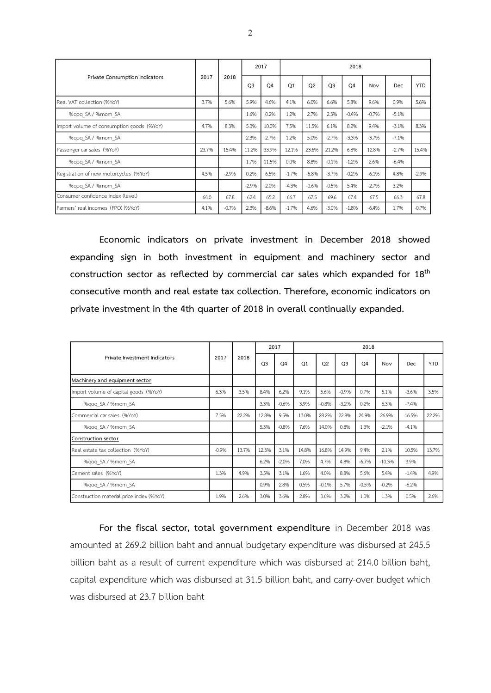|                                           | 2017  |         | 2017           |                | 2018           |                |                |                |         |            |            |  |  |
|-------------------------------------------|-------|---------|----------------|----------------|----------------|----------------|----------------|----------------|---------|------------|------------|--|--|
| Private Consumption Indicators            |       | 2018    | O <sub>3</sub> | O <sub>4</sub> | O <sub>1</sub> | O <sub>2</sub> | O <sub>3</sub> | O <sub>4</sub> | Nov     | <b>Dec</b> | <b>YTD</b> |  |  |
| Real VAT collection (%YoY)                | 3.7%  | 5.6%    | 5.9%           | 4.6%           | 4.1%           | 6.0%           | 6.6%           | 5.8%           | 9.6%    | 0.9%       | 5.6%       |  |  |
| %gog SA / %mom SA                         |       |         | 1.6%           | 0.2%           | 1.2%           | 2.7%           | 2.3%           | $-0.4%$        | $-0.7%$ | $-5.1%$    |            |  |  |
| Import volume of consumption goods (%YoY) | 4.7%  | 8.3%    | 5.3%           | 10.0%          | 7.5%           | 11.5%          | 6.1%           | 8.2%           | 9.4%    | $-3.1%$    | 8.3%       |  |  |
| %gog SA / %mom SA                         |       |         | 2.3%           | 2.7%           | 1.2%           | 5.0%           | $-2.7%$        | $-3.3%$        | $-3.7%$ | $-7.1%$    |            |  |  |
| Passenger car sales (%YoY)                | 23.7% | 15.4%   | 11.2%          | 33.9%          | 12.1%          | 23.6%          | 21.2%          | 6.8%           | 12.8%   | $-2.7%$    | 15.4%      |  |  |
| %gog SA / %mom SA                         |       |         | 1.7%           | 11.5%          | 0.0%           | 8.8%           | $-0.1%$        | $-1.2%$        | 2.6%    | $-6.4%$    |            |  |  |
| Registration of new motorcycles (%YoY)    | 4.5%  | $-2.9%$ | 0.2%           | 6.5%           | $-1.7%$        | $-5.8%$        | $-3.7%$        | $-0.2%$        | $-6.1%$ | 4.8%       | $-2.9%$    |  |  |
| %gog SA / %mom SA                         |       |         | $-2.9%$        | 2.0%           | $-4.3%$        | $-0.6%$        | $-0.5%$        | 5.4%           | $-2.7%$ | 3.2%       |            |  |  |
| Consumer confidence index (level)         | 64.0  | 67.8    | 62.4           | 65.2           | 66.7           | 67.5           | 69.6           | 67.4           | 67.5    | 66.3       | 67.8       |  |  |
| Farmers' real incomes (FPO) (%YoY)        | 4.1%  | $-0.7%$ | 2.3%           | $-8.6%$        | $-1.7%$        | 4.6%           | $-3.0%$        | $-1.8%$        | $-6.4%$ | 1.7%       | $-0.7%$    |  |  |

**Economic indicators on private investment in December 2018 showed expanding sign in both investment in equipment and machinery sector and construction sector as reflected by commercial car sales which expanded for 18th consecutive month and real estate tax collection. Therefore, economic indicators on private investment in the 4th quarter of 2018 in overall continually expanded.**

|                                          |         |       |                | 2017           |                |                |                | 2018           |          |            |            |
|------------------------------------------|---------|-------|----------------|----------------|----------------|----------------|----------------|----------------|----------|------------|------------|
| Private Investment Indicators            | 2017    | 2018  | O <sub>3</sub> | O <sub>4</sub> | O <sub>1</sub> | O <sub>2</sub> | O <sub>3</sub> | O <sub>4</sub> | Nov      | <b>Dec</b> | <b>YTD</b> |
| Machinery and equipment sector           |         |       |                |                |                |                |                |                |          |            |            |
| Import volume of capital goods (%YoY)    | 6.3%    | 3.5%  | 8.4%           | 6.2%           | 9.1%           | 5.6%           | $-0.9%$        | 0.7%           | 5.1%     | $-3.6%$    | 3.5%       |
| %gog SA / %mom SA                        |         |       | 3.3%           | $-0.6%$        | 3.9%           | $-0.8%$        | $-3.2%$        | 0.2%           | 6.3%     | $-7.4%$    |            |
| Commercial car sales (%YoY)              | 7.5%    | 22.2% | 12.8%          | 9.5%           | 13.0%          | 28.2%          | 22.8%          | 24.9%          | 26.9%    | 16.5%      | 22.2%      |
| %gog SA / %mom SA                        |         |       | 5.3%           | $-0.8%$        | 7.6%           | 14.0%          | 0.8%           | 1.3%           | $-2.1%$  | $-4.1%$    |            |
| Construction sector                      |         |       |                |                |                |                |                |                |          |            |            |
| Real estate tax collection (%YoY)        | $-0.9%$ | 13.7% | 12.3%          | 3.1%           | 14.8%          | 16.8%          | 14.9%          | 9.4%           | 2.1%     | 10.5%      | 13.7%      |
| %gog SA / %mom SA                        |         |       | 6.2%           | $-2.0%$        | 7.0%           | 4.7%           | 4.8%           | $-6.7%$        | $-10.3%$ | 3.9%       |            |
| Cement sales (%YoY)                      | 1.3%    | 4.9%  | 3.5%           | 3.1%           | 1.6%           | 4.0%           | 8.8%           | 5.6%           | 5.4%     | $-1.4%$    | 4.9%       |
| %gog SA / %mom SA                        |         |       | 0.9%           | 2.8%           | 0.5%           | $-0.1%$        | 5.7%           | $-0.5%$        | $-0.2%$  | $-6.2%$    |            |
| Construction material price index (%YoY) | 1.9%    | 2.6%  | 3.0%           | 3.6%           | 2.8%           | 3.6%           | 3.2%           | 1.0%           | 1.3%     | 0.5%       | 2.6%       |

**For the fiscal sector, total government expenditure** in December 2018 was amounted at 269.2 billion baht and annual budgetary expenditure was disbursed at 245.5 billion baht as a result of current expenditure which was disbursed at 214.0 billion baht, capital expenditure which was disbursed at 31.5 billion baht, and carry-over budget which was disbursed at 23.7 billion baht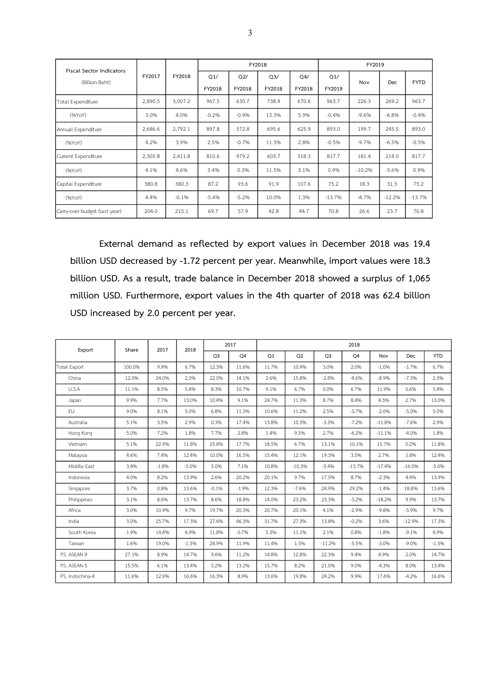| <b>Fiscal Sector Indicators</b> |         |         |               |               | FY2018                   |               |               | FY2019   |            |             |
|---------------------------------|---------|---------|---------------|---------------|--------------------------|---------------|---------------|----------|------------|-------------|
| (Billion Baht)                  | FY2017  | FY2018  | Q1/<br>FY2018 | Q2/<br>FY2018 | Q <sub>3</sub><br>FY2018 | Q4/<br>FY2018 | Q1/<br>FY2019 | Nov      | <b>Dec</b> | <b>FYTD</b> |
| Total Expenditure               | 2,890.5 | 3,007.2 | 967.5         | 630.7         | 738.4                    | 670.6         | 963.7         | 226.3    | 269.2      | 963.7       |
| (96YoY)                         | 3.0%    | 4.0%    | $-0.2%$       | $-0.9%$       | 13.3%                    | 5.9%          | $-0.4%$       | $-9.6%$  | $-6.8%$    | $-0.4%$     |
| Annual Expenditure              | 2,686.6 | 2,792.1 | 897.8         | 572.8         | 695.6                    | 625.9         | 893.0         | 199.7    | 245.5      | 893.0       |
| (%YoY)                          | 4.2%    | 3.9%    | 2.5%          | $-0.7%$       | 11.3%                    | 2.8%          | $-0.5%$       | $-9.7%$  | $-6.5%$    | $-0.5%$     |
| Current Expenditure             | 2,305.8 | 2,411.8 | 810.6         | 479.2         | 603.7                    | 518.3         | 817.7         | 181.4    | 214.0      | 817.7       |
| (96YoY)                         | 4.1%    | 4.6%    | 3.4%          | 0.3%          | 11.5%                    | 3.1%          | 0.9%          | $-10.2%$ | $-5.6%$    | 0.9%        |
| Capital Expenditure             | 380.8   | 380.3   | 87.2          | 93.6          | 91.9                     | 107.6         | 75.2          | 18.3     | 31.5       | 75.2        |
| (96YoY)                         | 4.4%    | $-0.1%$ | $-5.4%$       | $-5.2%$       | 10.0%                    | 1.3%          | $-13.7%$      | $-4.7%$  | $-12.2%$   | $-13.7%$    |
| Carry-over budget (last year)   | 204.0   | 215.1   | 69.7          | 57.9          | 42.8                     | 44.7          | 70.8          | 26.6     | 23.7       | 70.8        |

**External demand as reflected by export values in December 2018 was 19.4 billion USD decreased by -1.72 percent per year. Meanwhile, import values were 18.3 billion USD. As a result, trade balance in December 2018 showed a surplus of 1,065 million USD. Furthermore, export values in the 4th quarter of 2018 was 62.4 billion USD increased by 2.0 percent per year.**

| Export              | Share  | 2017    | 2018    |                | 2017    | 2018  |                |                |          |          |            |            |  |  |
|---------------------|--------|---------|---------|----------------|---------|-------|----------------|----------------|----------|----------|------------|------------|--|--|
|                     |        |         |         | Q <sub>3</sub> | Q4      | Q1    | Q <sub>2</sub> | Q <sub>3</sub> | Q4       | Nov      | <b>Dec</b> | <b>YTD</b> |  |  |
| <b>Total Export</b> | 100.0% | 9.9%    | 6.7%    | 12.3%          | 11.6%   | 11.7% | 10.9%          | 3.0%           | 2.0%     | $-1.0%$  | $-1.7%$    | 6.7%       |  |  |
| China               | 12.0%  | 24.0%   | 2.3%    | 22.0%          | 14.1%   | 2.6%  | 15.8%          | $-2.8%$        | $-4.6%$  | $-8.9%$  | $-7.3%$    | 2.3%       |  |  |
| U.S.A               | 11.1%  | 8.5%    | 5.4%    | 8.3%           | 10.7%   | 9.1%  | 6.7%           | 0.0%           | 6.7%     | 11.9%    | 0.6%       | 5.4%       |  |  |
| Japan               | 9.9%   | 7.7%    | 13.0%   | 10.4%          | 9.1%    | 24.7% | 11.3%          | 8.7%           | 8.4%     | 4.3%     | 2.7%       | 13.0%      |  |  |
| <b>EU</b>           | 9.0%   | 8.1%    | 5.0%    | 6.8%           | 11.3%   | 10.6% | 11.2%          | 2.5%           | $-3.7%$  | $-2.0%$  | $-5.0%$    | 5.0%       |  |  |
| Australia           | 5.1%   | 3.5%    | 2.9%    | 0.3%           | 17.4%   | 13.8% | 10.3%          | $-3.3%$        | $-7.2%$  | $-11.8%$ | $-7.6%$    | 2.9%       |  |  |
| Hong Kong           | 5.0%   | 7.2%    | 1.8%    | 7.7%           | 2.8%    | 1.4%  | 9.5%           | 2.7%           | $-6.2%$  | $-11.1%$ | $-4.0%$    | 1.8%       |  |  |
| Vietnam             | 5.1%   | 22.9%   | 11.8%   | 25.8%          | 17.7%   | 18.5% | 6.7%           | 13.1%          | 10.1%    | 15.7%    | 0.2%       | 11.8%      |  |  |
| Malaysia            | 4.6%   | 7.4%    | 12.4%   | 10.0%          | 16.5%   | 15.4% | 12.1%          | 19.3%          | 3.5%     | 2.7%     | 1.8%       | 12.4%      |  |  |
| Middle East         | 3.4%   | $-1.8%$ | $-5.0%$ | 5.0%           | 7.1%    | 10.8% | $-10.3%$       | $-5.4%$        | $-13.7%$ | $-17.4%$ | $-16.0%$   | $-5.0%$    |  |  |
| Indonesia           | 4.0%   | 8.2%    | 13.9%   | 2.6%           | 20.2%   | 20.1% | 9.7%           | 17.5%          | 8.7%     | $-2.3%$  | 4.4%       | 13.9%      |  |  |
| Singapore           | 3.7%   | 0.8%    | 13.6%   | $-0.1%$        | $-1.9%$ | 12.3% | $-7.6%$        | 24.9%          | 29.2%    | $-1.4%$  | 18.8%      | 13.6%      |  |  |
| Philippines         | 3.1%   | 8.6%    | 13.7%   | 8.6%           | 18.8%   | 14.0% | 23.2%          | 23.3%          | $-3.2%$  | $-18.2%$ | 9.9%       | 13.7%      |  |  |
| Africa              | 3.0%   | 10.9%   | 9.7%    | 19.7%          | 20.3%   | 20.7% | 20.1%          | 4.1%           | $-2.9%$  | $-9.8%$  | $-5.9%$    | 9.7%       |  |  |
| India               | 3.0%   | 25.7%   | 17.3%   | 27.4%          | 46.3%   | 31.7% | 27.3%          | 13.8%          | $-0.2%$  | 3.6%     | $-12.9%$   | 17.3%      |  |  |
| South Korea         | 1.9%   | 14.4%   | 4.9%    | 11.8%          | 0.7%    | 5.3%  | 11.1%          | 2.1%           | 0.8%     | $-1.8%$  | $-9.1%$    | 4.9%       |  |  |
| Taiwan              | 1.6%   | 19.0%   | $-1.3%$ | 24.9%          | 11.9%   | 11.4% | 1.5%           | $-11.2%$       | $-5.5%$  | $-3.0%$  | $-9.0%$    | $-1.3%$    |  |  |
| PS. ASEAN-9         | 27.1%  | 8.9%    | 14.7%   | 9.6%           | 11.2%   | 14.8% | 12.8%          | 22.3%          | 9.4%     | 4.9%     | 2.0%       | 14.7%      |  |  |
| PS. ASEAN-5         | 15.5%  | 6.1%    | 13.4%   | 5.2%           | 13.2%   | 15.7% | 8.2%           | 21.0%          | 9.0%     | $-4.3%$  | 8.0%       | 13.4%      |  |  |
| PS. Indochina-4     | 11.6%  | 12.9%   | 16.6%   | 16.3%          | 8.9%    | 13.6% | 19.8%          | 24.2%          | 9.9%     | 17.6%    | $-4.2%$    | 16.6%      |  |  |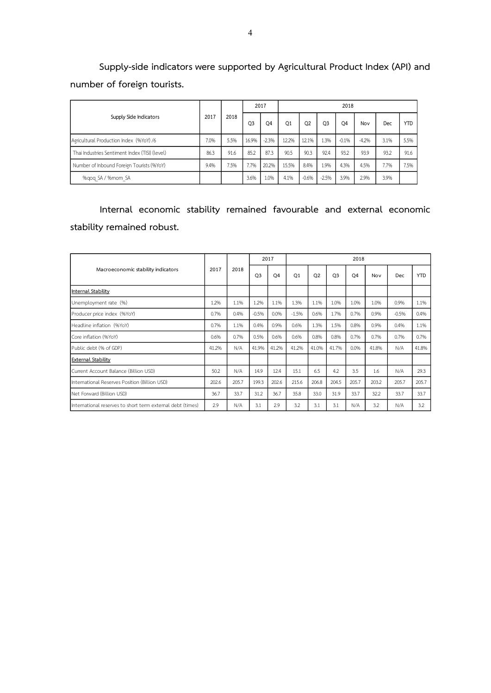**Supply-side indicators were supported by Agricultural Product Index (API) and number of foreign tourists.**

|                                                |      |      | 2017           |         | 2018  |                |                |                |         |      |            |  |  |
|------------------------------------------------|------|------|----------------|---------|-------|----------------|----------------|----------------|---------|------|------------|--|--|
| Supply Side Indicators                         | 2017 | 2018 | O <sub>3</sub> | Q4      | Q1    | Q <sub>2</sub> | O <sub>3</sub> | O <sub>4</sub> | Nov     | Dec  | <b>YTD</b> |  |  |
| Agricultural Production Index (%YoY) /6        | 7.0% | 5.5% | 16.9%          | $-2.3%$ | 12.2% | 12.1%          | 1.3%           | $-0.1%$        | $-4.2%$ | 3.1% | 5.5%       |  |  |
| Thai Industries Sentiment Index (TISI) (level) | 86.3 | 91.6 | 85.2           | 87.3    | 90.5  | 90.3           | 92.4           | 93.2           | 93.9    | 93.2 | 91.6       |  |  |
| Number of Inbound Foreign Tourists (%YoY)      | 9.4% | 7.5% | 7.7%           | 20.2%   | 15.5% | 8.4%           | 1.9%           | 4.3%           | 4.5%    | 7.7% | 7.5%       |  |  |
| %gog SA / %mom SA                              |      |      | 3.6%           | 1.0%    | 4.1%  | $-0.6%$        | $-2.5%$        | 3.9%           | 2.9%    | 3.9% |            |  |  |

**Internal economic stability remained favourable and external economic stability remained robust.**

|                                                            | 2017  |       |                | 2017           | 2018           |                |                |                |       |         |            |  |  |  |
|------------------------------------------------------------|-------|-------|----------------|----------------|----------------|----------------|----------------|----------------|-------|---------|------------|--|--|--|
| Macroeconomic stability indicators                         |       | 2018  | O <sub>3</sub> | O <sub>4</sub> | O <sub>1</sub> | O <sub>2</sub> | O <sub>3</sub> | O <sub>4</sub> | Nov   | Dec     | <b>YTD</b> |  |  |  |
| Internal Stability                                         |       |       |                |                |                |                |                |                |       |         |            |  |  |  |
| Unemployment rate (%)                                      | 1.2%  | 1.1%  | 1.2%           | 1.1%           | 1.3%           | 1.1%           | 1.0%           | 1.0%           | 1.0%  | 0.9%    | 1.1%       |  |  |  |
| Producer price index (%YoY)                                | 0.7%  | 0.4%  | $-0.5%$        | 0.0%           | $-1.5%$        | 0.6%           | 1.7%           | 0.7%           | 0.9%  | $-0.5%$ | 0.4%       |  |  |  |
| Headline inflation (%YoY)                                  | 0.7%  | 1.1%  | 0.4%           | 0.9%           | 0.6%           | 1.3%           | 1.5%           | 0.8%           | 0.9%  | 0.4%    | 1.1%       |  |  |  |
| Core inflation (%YoY)                                      | 0.6%  | 0.7%  | 0.5%           | 0.6%           | 0.6%           | 0.8%           | 0.8%           | 0.7%           | 0.7%  | 0.7%    | 0.7%       |  |  |  |
| Public debt (% of GDP)                                     | 41.2% | N/A   | 41.9%          | 41.2%          | 41.2%          | 41.0%          | 41.7%          | 0.0%           | 41.8% | N/A     | 41.8%      |  |  |  |
| <b>External Stability</b>                                  |       |       |                |                |                |                |                |                |       |         |            |  |  |  |
| Current Account Balance (Billion USD)                      | 50.2  | N/A   | 14.9           | 12.4           | 15.1           | 6.5            | 4.2            | 3.5            | 1.6   | N/A     | 29.3       |  |  |  |
| International Reserves Position (Billion USD)              | 202.6 | 205.7 | 199.3          | 202.6          | 215.6          | 206.8          | 204.5          | 205.7          | 203.2 | 205.7   | 205.7      |  |  |  |
| Net Forward (Billion USD)                                  | 36.7  | 33.7  | 31.2           | 36.7           | 35.8           | 33.0           | 31.9           | 33.7           | 32.2  | 33.7    | 33.7       |  |  |  |
| International reserves to short term external debt (times) | 2.9   | N/A   | 3.1            | 2.9            | 3.2            | 3.1            | 3.1            | N/A            | 3.2   | N/A     | 3.2        |  |  |  |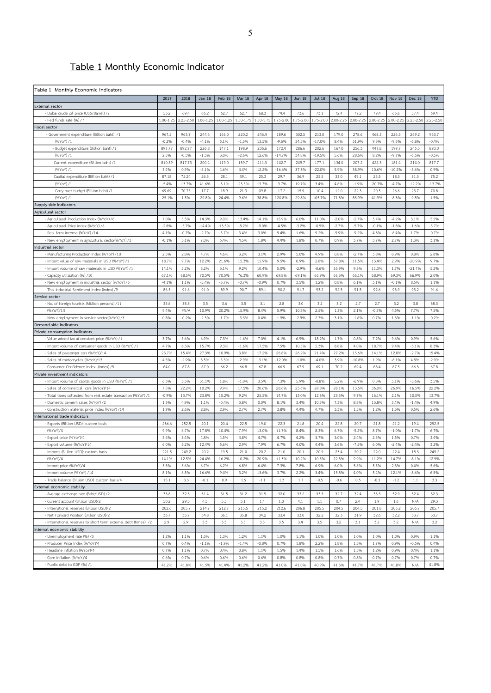## **Table 1 Monthly Economic Indicator**

| 2017<br>2018<br><b>Jan 18</b><br>Feb 18<br><b>Mar 18</b><br>Apr 18<br>May 18<br><b>Jun 18</b><br><b>Jul 18</b><br>Aug 18<br>Sep 18<br>Oct 18<br>Nov 18<br>Dec 18<br><b>YTD</b><br>External sector<br>- Dubai crude oil price (US\$/Barrel) /7<br>53.2<br>69.4<br>66.2<br>62.7<br>62.7<br>68.3<br>74.4<br>73.6<br>73.1<br>72.4<br>77.2<br>79.4<br>65.6<br>57.4<br>69.4<br>$1.00 - 1.25$<br>$2.25 - 2.50$<br>2.00-2.25<br>2.00-2.25<br>2.00-2.25<br>$2.00 - 2.25$<br>$2.25 - 2.50$<br>$2.25 - 2.50$<br>- Fed funds rate (%) /7<br>$1.00 - 1.25$<br>$1.00 - 1.25$<br>1.50-1.75<br>1.50-1.75<br>1.75-2.00<br>1.75-2.00<br>1.75-2.00<br>Fiscal sector<br>- Government expenditure (Billion baht) /1<br>967.5<br>963.7<br>244.6<br>166.0<br>220.2<br>246.4<br>189.6<br>302.5<br>213.0<br>179.0<br>278.6<br>468.3<br>226.3<br>269.2<br>963.7<br>5.1%<br>9.3%<br>$-0.296$<br>$-0.4%$<br>$-4.1%$<br>$-1.5%$<br>13.5%<br>$-9.6%$<br>34.5%<br>$-17.0%$<br>8.4%<br>31.9%<br>$-9.6%$<br>$-6.8%$<br>$-0.4%$<br>(%YoY) /1<br>897.77<br>892.97<br>226.8<br>147.1<br>198.9<br>172.4<br>167.0<br>256.3<br>447.8<br>199.7<br>245.5<br>893.0<br>- Budget expenditure (Billion baht) /1<br>236.6<br>286.6<br>202.6<br>3.0%<br>12.6%<br>(%YoY) /1<br>2.5%<br>$-0.5%$<br>$-1.3%$<br>$-2.6%$<br>$-14.7%$<br>34.8%<br>$-19.5%$<br>5.6%<br>28.6%<br>8.2%<br>$-9.7%$<br>$-6.5%$<br>$-0.5%$<br>810.59<br>142.7<br>422.3<br>Current expenditure (Billion baht) /1<br>817.73<br>200.4<br>119.0<br>159.7<br>211.3<br>249.7<br>177.1<br>134.0<br>207.2<br>181.4<br>214.0<br>817.7<br>4.6%<br>12.2%<br>38.9%<br>$-10.2%$<br>3.4%<br>0.9%<br>$-5.1%$<br>4.4%<br>$-16.6%$<br>37.3%<br>$-22.0%$<br>5.9%<br>10.6%<br>$-5.6%$<br>0.9%<br>(%YoY)/1<br>87.18<br>75.24<br>26.5<br>28.1<br>39.1<br>25.3<br>29.7<br>36.9<br>25.5<br>33.0<br>49.1<br>25.5<br>18.3<br>31.5<br>75.2<br>Capital expenditure (Billion baht) /1<br>$-5.4%$<br>$-13.7%$<br>41.6%<br>$-3.1%$<br>$-23.5%$<br>15.7%<br>$-3.7%$<br>19.7%<br>3.4%<br>4.6%<br>$-1.996$<br>$-20.7%$<br>$-4.7%$<br>$-12.2%$<br>$-13.7%$<br>(%YoY) /1<br>17.7<br>18.9<br>17.2<br>22.3<br>70.8<br>69.69<br>70.75<br>21.3<br>09.8<br>15.9<br>10.4<br>12.0<br>20.5<br>26.6<br>23.7<br>- Carry-over budget (Billion baht) /1<br>(%YoY)/1<br>$-25.1%$<br>1.5%<br>$-29.8%$<br>24.4%<br>38.8%<br>120.8%<br>29.8%<br>105.7%<br>71.8%<br>85.9%<br>41.9%<br>$-8.3%$<br>$-9.8%$<br>1.5%<br>9.6%<br>7.0%<br>5.5%<br>14.3%<br>15.9%<br>$-2.7%$<br>5.4%<br>$-4.2%$<br>5.5%<br>- Agricultural Production Index (%YoY) /6<br>9.0%<br>13.4%<br>14.1%<br>6.0%<br>11.0%<br>$-2.0%$<br>3.1%<br>$-2.8%$<br>$-5.7%$<br>$-14.4%$<br>$-13.3%$<br>$-8.2%$<br>$-9.0%$<br>$-4.5%$<br>$-3.2%$<br>$-0.5%$<br>$-2.7%$<br>$-5.7%$<br>$-0.1%$<br>$-1.8%$<br>$-1.6%$<br>$-5.7%$<br>- Agricultural Price Index (%YoY) /6<br>- Real farm income (%YoY) /14<br>4.1%<br>$-0.7%$<br>$-2.7%$<br>$-5.7%$<br>3.4%<br>3.0%<br>9.4%<br>1.6%<br>9.2%<br>$-5.9%$<br>$-9.2%$<br>4.3%<br>$-6.4%$<br>1.7%<br>$-0.7%$<br>$-0.1%$<br>3.1%<br>7.0%<br>5.4%<br>4.5%<br>1.8%<br>4.4%<br>1.8%<br>0.7%<br>0.9%<br>3.7%<br>3.7%<br>2.7%<br>1.3%<br>3.1%<br>- New employment in agricultural sector(%YoY) /3<br>Industrial sector<br>2.5%<br>4.7%<br>4.6%<br>3.2%<br>3.1%<br>2.9%<br>5.0%<br>4.9%<br>0.8%<br>$-2.7%$<br>5.8%<br>0.9%<br>0.8%<br>2.8%<br>- Manufacturing Production Index (%YoY) /10<br>2.8%<br>18.7%<br>12.2%<br>15.3%<br>2.8%<br>11.5%<br>13.4%<br>2.9%<br>9.7%<br>- Import value of raw materials in USD (%YoY) /1<br>9.7%<br>21.6%<br>15.9%<br>9.5%<br>0.9%<br>37.8%<br>$-20.9%$<br>14.1%<br>5.2%<br>6.2%<br>3.1%<br>9.2%<br>10.4%<br>5.0%<br>$-2.9%$<br>$-0.6%$<br>33.9%<br>9.3%<br>11.3%<br>1.7%<br>$-21.7%$<br>5.2%<br>- Import volume of raw materials in USD (%YoY) /1<br>67.1%<br>68.5%<br>70.5%<br>70.5%<br>76.3%<br>60.9%<br>69.8%<br>69.1%<br>66.9%<br>66.3%<br>66.1%<br>68.9%<br>69.3%<br>66.9%<br>2.0%<br>- Capacity utilization (%) /10<br>$-5.4%$<br>$-3.7%$<br>$-0.7%$<br>0.7%<br>3.5%<br>1.2%<br>$-0.1%$<br>- New employment in industrial sector (%YoY) /3<br>$-4.1%$<br>1.1%<br>$-0.9%$<br>0.8%<br>6.1%<br>5.1%<br>8.5%<br>1.1%<br>93.9<br>91.6<br>86.3<br>91.6<br>91.0<br>89.9<br>90.7<br>89.1<br>90.2<br>91.7<br>93.2<br>92.5<br>91.5<br>92.6<br>93.2<br>- Thai Industrial Sentiment Index (Index) /9<br>Service sector<br>- No. of foreign tourists (Million persons) /11<br>35.6<br>3.6<br>3.5<br>3.2<br>2.7<br>2.7<br>3.2<br>38.3<br>3.5<br>3.1<br>2.8<br>3.0<br>3.2<br>3.8<br>38.3<br>9.4%<br>10.9%<br>15.9%<br>2.5%<br>$-0.5%$<br>4.5%<br>7.5%<br>(%YoY)/14<br>#N/A<br>20.2%<br>8.4%<br>5.9%<br>10.8%<br>1.3%<br>2.1%<br>7.7%<br>0.8%<br>$-0.296$<br>$-2.3%$<br>$-1.7%$<br>$-3.3%$<br>0.4%<br>1.9%<br>$-2.9%$<br>2.7%<br>3.1%<br>$-1.6%$<br>0.7%<br>1.3%<br>$-1.1%$<br>$-0.2%$<br>- New employment in service sector(%YoY) /3<br>Demand-side indicators<br>Private consumption indicators<br>3.7%<br>5.6%<br>7.3%<br>7.0%<br>6.9%<br>7.2%<br>9.6%<br>0.9%<br>5.6%<br>- Value added tax at constant price (%YoY) /1<br>6.9%<br>$-1.6%$<br>4.1%<br>18.2%<br>1.7%<br>0.8%<br>- Import volume of consumer goods in USD (%YoY) /1<br>4.7%<br>8.3%<br>15.7%<br>9.3%<br>$-1.6%$<br>17.5%<br>7.5%<br>10.5%<br>5.3%<br>8.8%<br>4.0%<br>18.7%<br>9.4%<br>$-3.1%$<br>8.3%<br>- Sales of passenger cars (%YoY)/14<br>23.7%<br>15.4%<br>27.3%<br>10.9%<br>3.8%<br>17.2%<br>26.8%<br>26.2%<br>21.4%<br>27.2%<br>15.6%<br>14.1%<br>12.8%<br>$-2.7%$<br>15.4%<br>4.5%<br>$-2.9%$<br>3.5%<br>$-5.3%$<br>$-2.9%$<br>$-12.0%$<br>$-4.0%$<br>3.9%<br>4.8%<br>- Sales of motorcycles (%YoY)/13<br>$-3.1%$<br>$-1.0%$<br>$-10.8%$<br>1.9%<br>$-6.1%$<br>$-2.9%$<br>- Consumer Confidence Index (Index) /5<br>64.0<br>67.8<br>66.2<br>67.8<br>67.9<br>70.2<br>69.4<br>67.5<br>67.8<br>67.0<br>66.8<br>66.9<br>69.1<br>68.4<br>66.3<br>Private investment indicators<br>6.3%<br>31.1%<br>5.9%<br>$-0.8%$<br>0.3%<br>$-3.6%$<br>- Import volume of capital goods in USD (%YoY) /1<br>3.5%<br>1.8%<br>$-1.0%$<br>3.5%<br>7.3%<br>5.2%<br>$-6.9%$<br>5.1%<br>3.5%<br>16.5%<br>7.5%<br>22.2%<br>10.2%<br>9.9%<br>17.5%<br>30.6%<br>28.6%<br>25.6%<br>28.8%<br>28.1%<br>13.5%<br>36.0%<br>26.9%<br>22.2%<br>- Sales of commercial cars (%YoY)/14<br>- Total taxes collected from real estate transaction (%YoY) /1<br>$-0.996$<br>13.7%<br>23.8%<br>15.2%<br>9.2%<br>25.5%<br>14.7%<br>13.0%<br>12.3%<br>23.3%<br>9.7%<br>16.1%<br>10.5%<br>2.1%<br>13.7%<br>1.3%<br>4.9%<br>1.1%<br>$-0.4%$<br>3.8%<br>0.0%<br>8.1%<br>3.4%<br>10.5%<br>7.3%<br>8.8%<br>13.8%<br>5.4%<br>$-1.4%$<br>4.9%<br>- Domestic cement sales (%YoY) /2<br>1.9%<br>2.9%<br>2.7%<br>4.7%<br>1.2%<br>1.3%<br>- Construction material price index (%YoY) /14<br>2.6%<br>2.8%<br>2.7%<br>3.8%<br>4.4%<br>3.3%<br>1.5%<br>0.5%<br>2.6%<br>International trade indicators<br>252.5<br>22.3<br>20.4<br>252.5<br>- Exports (Billion USD): custom basis<br>236.6<br>20.1<br>20.4<br>22.5<br>19.0<br>21.8<br>22.8<br>20.7<br>21.8<br>21.2<br>19.4<br>(%YoY)/4<br>9.9%<br>6.7%<br>17.8%<br>10.4%<br>7.9%<br>13.0%<br>11.7%<br>8.4%<br>8.3%<br>6.7%<br>$-5.2%$<br>8.7%<br>$-1.0%$<br>$-1.7%$<br>6.7%<br>3.4%<br>4.8%<br>4.5%<br>4.8%<br>4.7%<br>4.7%<br>4.2%<br>3.0%<br>2.4%<br>2.5%<br>1.5%<br>0.7%<br>3.4%<br>- Export price (%YoY)/4<br>3.6%<br>3.7%<br>- Export volume (%YoY)/14<br>6.0%<br>3.2%<br>12.4%<br>5.6%<br>2.9%<br>7.9%<br>6.7%<br>4.0%<br>4.4%<br>3.6%<br>$-7.5%$<br>6.0%<br>$-2.4%$<br>$-2.4%$<br>3.2%<br>19.5<br>249.2<br>- Imports (Billion USD); custom basis<br>221.5<br>249.2<br>20.2<br>21.0<br>20.2<br>21.0<br>20.1<br>20.9<br>23.4<br>20.2<br>22.0<br>22.4<br>18.3<br>(%YoY)/4<br>14.1%<br>12.5%<br>24.4%<br>16.2%<br>10.2%<br>20.9%<br>11.3%<br>10.2%<br>10.5%<br>22.8%<br>9.9%<br>11.2%<br>14.7%<br>$-8.1%$<br>12.5%<br>2.3%<br>- Import price (%YoY)/4<br>5.5%<br>5.6%<br>6.7%<br>6.2%<br>6.8%<br>6.4%<br>7.3%<br>7.8%<br>6.9%<br>6.0%<br>5.6%<br>5.5%<br>0.4%<br>5.6%<br>6.5%<br>9.4%<br>3.4%<br>5.4%<br>6.5%<br>- Import volume (%YoY) /14<br>8.1%<br>16.6%<br>3.2%<br>13.6%<br>3.7%<br>2.2%<br>15.8%<br>4.0%<br>12.1%<br>$-8.6%$<br>- Trade balance (Billion USD): custom basis/4<br>15.1<br>3.3<br>$-0.1$<br>0.9<br>1.5<br>$-1.1$<br>1.3<br>1.7<br>$-0.5$<br>$-0.6$<br>0.5<br>$-0.3$<br>$-1.2$<br>1.1<br>3.3<br>External economic stability<br>- Average exchange rate (Baht/USD) /2<br>33.8<br>32.3<br>32.0<br>33.2<br>33.3<br>32.7<br>32.4<br>33.3<br>31.4<br>31.5<br>31.2<br>31.5<br>32.9<br>32.4<br>32.3<br>- Current account (Billion USD)/2<br>50.2<br>29.3<br>4.5<br>5.5<br>1.4<br>4.1<br>$1.1$<br>0.7<br>2.4<br>1.9<br>1.6<br>29.3<br>5.1<br>1.0<br>N/A<br>- International reserves (Billion USD)/2<br>202.6<br>205.7<br>214.7<br>212.7<br>215.6<br>215.2<br>212.6<br>206.8<br>205.5<br>204.5<br>204.5<br>201.8<br>203.2<br>205.7<br>205.7<br>- Net Forward Position (Billion USD)/2<br>36.7<br>33.7<br>34.8<br>36.1<br>35.8<br>34.2<br>33.4<br>33.0<br>32.2<br>32.3<br>31.9<br>32.6<br>32.2<br>33.7<br>33.7<br>3.3<br>3.5<br>3.5<br>3.5<br>3.2<br>- International reserves to short term external debt (times) /2<br>2.9<br>2.9<br>3.3<br>3.5<br>3.4<br>3.2<br>3.1<br>3.2<br>3.2<br>N/A<br>nternal economic stability<br>- Unemployment rate (%) /3<br>1.2%<br>1.1%<br>1.3%<br>1.3%<br>1.2%<br>1.1%<br>1.0%<br>1.1%<br>1.0%<br>1.0%<br>1.0%<br>1.0%<br>1.0%<br>0.9%<br>1.1%<br>- Producer Price Index (%YoY)/4<br>0.7%<br>$-1.4%$<br>0.7%<br>1.8%<br>1.3%<br>1.7%<br>$-0.5%$<br>0.4%<br>$-1.1%$<br>$-1.9%$<br>$-0.8%$<br>2.2%<br>1.8%<br>0.9%<br>0.4%<br>- Headline inflation (%YoY)/4<br>0.7%<br>1.2%<br>1.1%<br>0.7%<br>0.4%<br>0.8%<br>1.1%<br>1.5%<br>1.4%<br>1.5%<br>1.6%<br>1.3%<br>0.9%<br>0.4%<br>1.1%<br>- Core inflation (%YoY)/4<br>0.6%<br>0.7%<br>0.6%<br>0.6%<br>0.6%<br>0.6%<br>0.8%<br>0.8%<br>0.8%<br>0.7%<br>0.8%<br>0.7%<br>0.7%<br>0.7%<br>0.7%<br>- Public debt to GDP (%) /1<br>41.8%<br>41.2%<br>41.8%<br>41.5%<br>41.4%<br>41.2%<br>41.2%<br>41.0%<br>41.0%<br>40.9%<br>41.3%<br>41.7%<br>41.7%<br>41.8%<br>N/A | Table 1 Monthly Economic Indicators |  |  |  |  |  |  |  |  |
|------------------------------------------------------------------------------------------------------------------------------------------------------------------------------------------------------------------------------------------------------------------------------------------------------------------------------------------------------------------------------------------------------------------------------------------------------------------------------------------------------------------------------------------------------------------------------------------------------------------------------------------------------------------------------------------------------------------------------------------------------------------------------------------------------------------------------------------------------------------------------------------------------------------------------------------------------------------------------------------------------------------------------------------------------------------------------------------------------------------------------------------------------------------------------------------------------------------------------------------------------------------------------------------------------------------------------------------------------------------------------------------------------------------------------------------------------------------------------------------------------------------------------------------------------------------------------------------------------------------------------------------------------------------------------------------------------------------------------------------------------------------------------------------------------------------------------------------------------------------------------------------------------------------------------------------------------------------------------------------------------------------------------------------------------------------------------------------------------------------------------------------------------------------------------------------------------------------------------------------------------------------------------------------------------------------------------------------------------------------------------------------------------------------------------------------------------------------------------------------------------------------------------------------------------------------------------------------------------------------------------------------------------------------------------------------------------------------------------------------------------------------------------------------------------------------------------------------------------------------------------------------------------------------------------------------------------------------------------------------------------------------------------------------------------------------------------------------------------------------------------------------------------------------------------------------------------------------------------------------------------------------------------------------------------------------------------------------------------------------------------------------------------------------------------------------------------------------------------------------------------------------------------------------------------------------------------------------------------------------------------------------------------------------------------------------------------------------------------------------------------------------------------------------------------------------------------------------------------------------------------------------------------------------------------------------------------------------------------------------------------------------------------------------------------------------------------------------------------------------------------------------------------------------------------------------------------------------------------------------------------------------------------------------------------------------------------------------------------------------------------------------------------------------------------------------------------------------------------------------------------------------------------------------------------------------------------------------------------------------------------------------------------------------------------------------------------------------------------------------------------------------------------------------------------------------------------------------------------------------------------------------------------------------------------------------------------------------------------------------------------------------------------------------------------------------------------------------------------------------------------------------------------------------------------------------------------------------------------------------------------------------------------------------------------------------------------------------------------------------------------------------------------------------------------------------------------------------------------------------------------------------------------------------------------------------------------------------------------------------------------------------------------------------------------------------------------------------------------------------------------------------------------------------------------------------------------------------------------------------------------------------------------------------------------------------------------------------------------------------------------------------------------------------------------------------------------------------------------------------------------------------------------------------------------------------------------------------------------------------------------------------------------------------------------------------------------------------------------------------------------------------------------------------------------------------------------------------------------------------------------------------------------------------------------------------------------------------------------------------------------------------------------------------------------------------------------------------------------------------------------------------------------------------------------------------------------------------------------------------------------------------------------------------------------------------------------------------------------------------------------------------------------------------------------------------------------------------------------------------------------------------------------------------------------------------------------------------------------------------------------------------------------------------------------------------------------------------------------------------------------------------------------------------------------------------------------------------------------------------------------------------------------------------------------------------------------------------------------------------------------------------------------------------------------------------------------------------------------------------------------------------------------------------------------------------------------------------------------------------------------------------------------------------------------------------------------------------------------------------------------------------------------------------------------------------------------------------------------------------------------------------------------------------------------------------------------------------------------------------------------------------------------------------------------------------------------------------------------------------------------------------------------------------------------------------------------------------------------------------------------------------------------------------------------------------------------------------------------------------------------------------------------------------------------------------------------------------------------------------------------------------------------------------------------------------------------------------------------------------------------------------------------------------------------------------------------------------------------------------------------------------------------------------------------------------------------------------------------------------------------------------------------------------------------------------------------------------------------------------------------------------------------------------------------------------------------------------------------------------------------------------------------------------------------------------------------------------------------------------------------------------------------------------------------------------------------------------------------------------------------------------------------------------------------------------------------------------------------------------------------------------------------------------------------------------------------------------------------------------------------------------------------------------------------------------------------------------------------------------------------|-------------------------------------|--|--|--|--|--|--|--|--|
|                                                                                                                                                                                                                                                                                                                                                                                                                                                                                                                                                                                                                                                                                                                                                                                                                                                                                                                                                                                                                                                                                                                                                                                                                                                                                                                                                                                                                                                                                                                                                                                                                                                                                                                                                                                                                                                                                                                                                                                                                                                                                                                                                                                                                                                                                                                                                                                                                                                                                                                                                                                                                                                                                                                                                                                                                                                                                                                                                                                                                                                                                                                                                                                                                                                                                                                                                                                                                                                                                                                                                                                                                                                                                                                                                                                                                                                                                                                                                                                                                                                                                                                                                                                                                                                                                                                                                                                                                                                                                                                                                                                                                                                                                                                                                                                                                                                                                                                                                                                                                                                                                                                                                                                                                                                                                                                                                                                                                                                                                                                                                                                                                                                                                                                                                                                                                                                                                                                                                                                                                                                                                                                                                                                                                                                                                                                                                                                                                                                                                                                                                                                                                                                                                                                                                                                                                                                                                                                                                                                                                                                                                                                                                                                                                                                                                                                                                                                                                                                                                                                                                                                                                                                                                                                                                                                                                                                                                                                                                                                                                                                                                                                                                                                                                                                                                                                                                                                                                                                                                                                                                                                                                                                                                                                                                                                                                                                                                                                                                                                                                                                                                                                                                                                                                                                                                                                                                                                                                                                                                                                                                                                                                                                                                                                                                                                                                                                                                                                                                                                                      |                                     |  |  |  |  |  |  |  |  |
|                                                                                                                                                                                                                                                                                                                                                                                                                                                                                                                                                                                                                                                                                                                                                                                                                                                                                                                                                                                                                                                                                                                                                                                                                                                                                                                                                                                                                                                                                                                                                                                                                                                                                                                                                                                                                                                                                                                                                                                                                                                                                                                                                                                                                                                                                                                                                                                                                                                                                                                                                                                                                                                                                                                                                                                                                                                                                                                                                                                                                                                                                                                                                                                                                                                                                                                                                                                                                                                                                                                                                                                                                                                                                                                                                                                                                                                                                                                                                                                                                                                                                                                                                                                                                                                                                                                                                                                                                                                                                                                                                                                                                                                                                                                                                                                                                                                                                                                                                                                                                                                                                                                                                                                                                                                                                                                                                                                                                                                                                                                                                                                                                                                                                                                                                                                                                                                                                                                                                                                                                                                                                                                                                                                                                                                                                                                                                                                                                                                                                                                                                                                                                                                                                                                                                                                                                                                                                                                                                                                                                                                                                                                                                                                                                                                                                                                                                                                                                                                                                                                                                                                                                                                                                                                                                                                                                                                                                                                                                                                                                                                                                                                                                                                                                                                                                                                                                                                                                                                                                                                                                                                                                                                                                                                                                                                                                                                                                                                                                                                                                                                                                                                                                                                                                                                                                                                                                                                                                                                                                                                                                                                                                                                                                                                                                                                                                                                                                                                                                                                                      |                                     |  |  |  |  |  |  |  |  |
|                                                                                                                                                                                                                                                                                                                                                                                                                                                                                                                                                                                                                                                                                                                                                                                                                                                                                                                                                                                                                                                                                                                                                                                                                                                                                                                                                                                                                                                                                                                                                                                                                                                                                                                                                                                                                                                                                                                                                                                                                                                                                                                                                                                                                                                                                                                                                                                                                                                                                                                                                                                                                                                                                                                                                                                                                                                                                                                                                                                                                                                                                                                                                                                                                                                                                                                                                                                                                                                                                                                                                                                                                                                                                                                                                                                                                                                                                                                                                                                                                                                                                                                                                                                                                                                                                                                                                                                                                                                                                                                                                                                                                                                                                                                                                                                                                                                                                                                                                                                                                                                                                                                                                                                                                                                                                                                                                                                                                                                                                                                                                                                                                                                                                                                                                                                                                                                                                                                                                                                                                                                                                                                                                                                                                                                                                                                                                                                                                                                                                                                                                                                                                                                                                                                                                                                                                                                                                                                                                                                                                                                                                                                                                                                                                                                                                                                                                                                                                                                                                                                                                                                                                                                                                                                                                                                                                                                                                                                                                                                                                                                                                                                                                                                                                                                                                                                                                                                                                                                                                                                                                                                                                                                                                                                                                                                                                                                                                                                                                                                                                                                                                                                                                                                                                                                                                                                                                                                                                                                                                                                                                                                                                                                                                                                                                                                                                                                                                                                                                                                                      |                                     |  |  |  |  |  |  |  |  |
|                                                                                                                                                                                                                                                                                                                                                                                                                                                                                                                                                                                                                                                                                                                                                                                                                                                                                                                                                                                                                                                                                                                                                                                                                                                                                                                                                                                                                                                                                                                                                                                                                                                                                                                                                                                                                                                                                                                                                                                                                                                                                                                                                                                                                                                                                                                                                                                                                                                                                                                                                                                                                                                                                                                                                                                                                                                                                                                                                                                                                                                                                                                                                                                                                                                                                                                                                                                                                                                                                                                                                                                                                                                                                                                                                                                                                                                                                                                                                                                                                                                                                                                                                                                                                                                                                                                                                                                                                                                                                                                                                                                                                                                                                                                                                                                                                                                                                                                                                                                                                                                                                                                                                                                                                                                                                                                                                                                                                                                                                                                                                                                                                                                                                                                                                                                                                                                                                                                                                                                                                                                                                                                                                                                                                                                                                                                                                                                                                                                                                                                                                                                                                                                                                                                                                                                                                                                                                                                                                                                                                                                                                                                                                                                                                                                                                                                                                                                                                                                                                                                                                                                                                                                                                                                                                                                                                                                                                                                                                                                                                                                                                                                                                                                                                                                                                                                                                                                                                                                                                                                                                                                                                                                                                                                                                                                                                                                                                                                                                                                                                                                                                                                                                                                                                                                                                                                                                                                                                                                                                                                                                                                                                                                                                                                                                                                                                                                                                                                                                                                                      |                                     |  |  |  |  |  |  |  |  |
|                                                                                                                                                                                                                                                                                                                                                                                                                                                                                                                                                                                                                                                                                                                                                                                                                                                                                                                                                                                                                                                                                                                                                                                                                                                                                                                                                                                                                                                                                                                                                                                                                                                                                                                                                                                                                                                                                                                                                                                                                                                                                                                                                                                                                                                                                                                                                                                                                                                                                                                                                                                                                                                                                                                                                                                                                                                                                                                                                                                                                                                                                                                                                                                                                                                                                                                                                                                                                                                                                                                                                                                                                                                                                                                                                                                                                                                                                                                                                                                                                                                                                                                                                                                                                                                                                                                                                                                                                                                                                                                                                                                                                                                                                                                                                                                                                                                                                                                                                                                                                                                                                                                                                                                                                                                                                                                                                                                                                                                                                                                                                                                                                                                                                                                                                                                                                                                                                                                                                                                                                                                                                                                                                                                                                                                                                                                                                                                                                                                                                                                                                                                                                                                                                                                                                                                                                                                                                                                                                                                                                                                                                                                                                                                                                                                                                                                                                                                                                                                                                                                                                                                                                                                                                                                                                                                                                                                                                                                                                                                                                                                                                                                                                                                                                                                                                                                                                                                                                                                                                                                                                                                                                                                                                                                                                                                                                                                                                                                                                                                                                                                                                                                                                                                                                                                                                                                                                                                                                                                                                                                                                                                                                                                                                                                                                                                                                                                                                                                                                                                                      |                                     |  |  |  |  |  |  |  |  |
|                                                                                                                                                                                                                                                                                                                                                                                                                                                                                                                                                                                                                                                                                                                                                                                                                                                                                                                                                                                                                                                                                                                                                                                                                                                                                                                                                                                                                                                                                                                                                                                                                                                                                                                                                                                                                                                                                                                                                                                                                                                                                                                                                                                                                                                                                                                                                                                                                                                                                                                                                                                                                                                                                                                                                                                                                                                                                                                                                                                                                                                                                                                                                                                                                                                                                                                                                                                                                                                                                                                                                                                                                                                                                                                                                                                                                                                                                                                                                                                                                                                                                                                                                                                                                                                                                                                                                                                                                                                                                                                                                                                                                                                                                                                                                                                                                                                                                                                                                                                                                                                                                                                                                                                                                                                                                                                                                                                                                                                                                                                                                                                                                                                                                                                                                                                                                                                                                                                                                                                                                                                                                                                                                                                                                                                                                                                                                                                                                                                                                                                                                                                                                                                                                                                                                                                                                                                                                                                                                                                                                                                                                                                                                                                                                                                                                                                                                                                                                                                                                                                                                                                                                                                                                                                                                                                                                                                                                                                                                                                                                                                                                                                                                                                                                                                                                                                                                                                                                                                                                                                                                                                                                                                                                                                                                                                                                                                                                                                                                                                                                                                                                                                                                                                                                                                                                                                                                                                                                                                                                                                                                                                                                                                                                                                                                                                                                                                                                                                                                                                                      |                                     |  |  |  |  |  |  |  |  |
|                                                                                                                                                                                                                                                                                                                                                                                                                                                                                                                                                                                                                                                                                                                                                                                                                                                                                                                                                                                                                                                                                                                                                                                                                                                                                                                                                                                                                                                                                                                                                                                                                                                                                                                                                                                                                                                                                                                                                                                                                                                                                                                                                                                                                                                                                                                                                                                                                                                                                                                                                                                                                                                                                                                                                                                                                                                                                                                                                                                                                                                                                                                                                                                                                                                                                                                                                                                                                                                                                                                                                                                                                                                                                                                                                                                                                                                                                                                                                                                                                                                                                                                                                                                                                                                                                                                                                                                                                                                                                                                                                                                                                                                                                                                                                                                                                                                                                                                                                                                                                                                                                                                                                                                                                                                                                                                                                                                                                                                                                                                                                                                                                                                                                                                                                                                                                                                                                                                                                                                                                                                                                                                                                                                                                                                                                                                                                                                                                                                                                                                                                                                                                                                                                                                                                                                                                                                                                                                                                                                                                                                                                                                                                                                                                                                                                                                                                                                                                                                                                                                                                                                                                                                                                                                                                                                                                                                                                                                                                                                                                                                                                                                                                                                                                                                                                                                                                                                                                                                                                                                                                                                                                                                                                                                                                                                                                                                                                                                                                                                                                                                                                                                                                                                                                                                                                                                                                                                                                                                                                                                                                                                                                                                                                                                                                                                                                                                                                                                                                                                                      |                                     |  |  |  |  |  |  |  |  |
|                                                                                                                                                                                                                                                                                                                                                                                                                                                                                                                                                                                                                                                                                                                                                                                                                                                                                                                                                                                                                                                                                                                                                                                                                                                                                                                                                                                                                                                                                                                                                                                                                                                                                                                                                                                                                                                                                                                                                                                                                                                                                                                                                                                                                                                                                                                                                                                                                                                                                                                                                                                                                                                                                                                                                                                                                                                                                                                                                                                                                                                                                                                                                                                                                                                                                                                                                                                                                                                                                                                                                                                                                                                                                                                                                                                                                                                                                                                                                                                                                                                                                                                                                                                                                                                                                                                                                                                                                                                                                                                                                                                                                                                                                                                                                                                                                                                                                                                                                                                                                                                                                                                                                                                                                                                                                                                                                                                                                                                                                                                                                                                                                                                                                                                                                                                                                                                                                                                                                                                                                                                                                                                                                                                                                                                                                                                                                                                                                                                                                                                                                                                                                                                                                                                                                                                                                                                                                                                                                                                                                                                                                                                                                                                                                                                                                                                                                                                                                                                                                                                                                                                                                                                                                                                                                                                                                                                                                                                                                                                                                                                                                                                                                                                                                                                                                                                                                                                                                                                                                                                                                                                                                                                                                                                                                                                                                                                                                                                                                                                                                                                                                                                                                                                                                                                                                                                                                                                                                                                                                                                                                                                                                                                                                                                                                                                                                                                                                                                                                                                                      |                                     |  |  |  |  |  |  |  |  |
|                                                                                                                                                                                                                                                                                                                                                                                                                                                                                                                                                                                                                                                                                                                                                                                                                                                                                                                                                                                                                                                                                                                                                                                                                                                                                                                                                                                                                                                                                                                                                                                                                                                                                                                                                                                                                                                                                                                                                                                                                                                                                                                                                                                                                                                                                                                                                                                                                                                                                                                                                                                                                                                                                                                                                                                                                                                                                                                                                                                                                                                                                                                                                                                                                                                                                                                                                                                                                                                                                                                                                                                                                                                                                                                                                                                                                                                                                                                                                                                                                                                                                                                                                                                                                                                                                                                                                                                                                                                                                                                                                                                                                                                                                                                                                                                                                                                                                                                                                                                                                                                                                                                                                                                                                                                                                                                                                                                                                                                                                                                                                                                                                                                                                                                                                                                                                                                                                                                                                                                                                                                                                                                                                                                                                                                                                                                                                                                                                                                                                                                                                                                                                                                                                                                                                                                                                                                                                                                                                                                                                                                                                                                                                                                                                                                                                                                                                                                                                                                                                                                                                                                                                                                                                                                                                                                                                                                                                                                                                                                                                                                                                                                                                                                                                                                                                                                                                                                                                                                                                                                                                                                                                                                                                                                                                                                                                                                                                                                                                                                                                                                                                                                                                                                                                                                                                                                                                                                                                                                                                                                                                                                                                                                                                                                                                                                                                                                                                                                                                                                                      |                                     |  |  |  |  |  |  |  |  |
|                                                                                                                                                                                                                                                                                                                                                                                                                                                                                                                                                                                                                                                                                                                                                                                                                                                                                                                                                                                                                                                                                                                                                                                                                                                                                                                                                                                                                                                                                                                                                                                                                                                                                                                                                                                                                                                                                                                                                                                                                                                                                                                                                                                                                                                                                                                                                                                                                                                                                                                                                                                                                                                                                                                                                                                                                                                                                                                                                                                                                                                                                                                                                                                                                                                                                                                                                                                                                                                                                                                                                                                                                                                                                                                                                                                                                                                                                                                                                                                                                                                                                                                                                                                                                                                                                                                                                                                                                                                                                                                                                                                                                                                                                                                                                                                                                                                                                                                                                                                                                                                                                                                                                                                                                                                                                                                                                                                                                                                                                                                                                                                                                                                                                                                                                                                                                                                                                                                                                                                                                                                                                                                                                                                                                                                                                                                                                                                                                                                                                                                                                                                                                                                                                                                                                                                                                                                                                                                                                                                                                                                                                                                                                                                                                                                                                                                                                                                                                                                                                                                                                                                                                                                                                                                                                                                                                                                                                                                                                                                                                                                                                                                                                                                                                                                                                                                                                                                                                                                                                                                                                                                                                                                                                                                                                                                                                                                                                                                                                                                                                                                                                                                                                                                                                                                                                                                                                                                                                                                                                                                                                                                                                                                                                                                                                                                                                                                                                                                                                                                                      |                                     |  |  |  |  |  |  |  |  |
|                                                                                                                                                                                                                                                                                                                                                                                                                                                                                                                                                                                                                                                                                                                                                                                                                                                                                                                                                                                                                                                                                                                                                                                                                                                                                                                                                                                                                                                                                                                                                                                                                                                                                                                                                                                                                                                                                                                                                                                                                                                                                                                                                                                                                                                                                                                                                                                                                                                                                                                                                                                                                                                                                                                                                                                                                                                                                                                                                                                                                                                                                                                                                                                                                                                                                                                                                                                                                                                                                                                                                                                                                                                                                                                                                                                                                                                                                                                                                                                                                                                                                                                                                                                                                                                                                                                                                                                                                                                                                                                                                                                                                                                                                                                                                                                                                                                                                                                                                                                                                                                                                                                                                                                                                                                                                                                                                                                                                                                                                                                                                                                                                                                                                                                                                                                                                                                                                                                                                                                                                                                                                                                                                                                                                                                                                                                                                                                                                                                                                                                                                                                                                                                                                                                                                                                                                                                                                                                                                                                                                                                                                                                                                                                                                                                                                                                                                                                                                                                                                                                                                                                                                                                                                                                                                                                                                                                                                                                                                                                                                                                                                                                                                                                                                                                                                                                                                                                                                                                                                                                                                                                                                                                                                                                                                                                                                                                                                                                                                                                                                                                                                                                                                                                                                                                                                                                                                                                                                                                                                                                                                                                                                                                                                                                                                                                                                                                                                                                                                                                                      |                                     |  |  |  |  |  |  |  |  |
|                                                                                                                                                                                                                                                                                                                                                                                                                                                                                                                                                                                                                                                                                                                                                                                                                                                                                                                                                                                                                                                                                                                                                                                                                                                                                                                                                                                                                                                                                                                                                                                                                                                                                                                                                                                                                                                                                                                                                                                                                                                                                                                                                                                                                                                                                                                                                                                                                                                                                                                                                                                                                                                                                                                                                                                                                                                                                                                                                                                                                                                                                                                                                                                                                                                                                                                                                                                                                                                                                                                                                                                                                                                                                                                                                                                                                                                                                                                                                                                                                                                                                                                                                                                                                                                                                                                                                                                                                                                                                                                                                                                                                                                                                                                                                                                                                                                                                                                                                                                                                                                                                                                                                                                                                                                                                                                                                                                                                                                                                                                                                                                                                                                                                                                                                                                                                                                                                                                                                                                                                                                                                                                                                                                                                                                                                                                                                                                                                                                                                                                                                                                                                                                                                                                                                                                                                                                                                                                                                                                                                                                                                                                                                                                                                                                                                                                                                                                                                                                                                                                                                                                                                                                                                                                                                                                                                                                                                                                                                                                                                                                                                                                                                                                                                                                                                                                                                                                                                                                                                                                                                                                                                                                                                                                                                                                                                                                                                                                                                                                                                                                                                                                                                                                                                                                                                                                                                                                                                                                                                                                                                                                                                                                                                                                                                                                                                                                                                                                                                                                                      |                                     |  |  |  |  |  |  |  |  |
|                                                                                                                                                                                                                                                                                                                                                                                                                                                                                                                                                                                                                                                                                                                                                                                                                                                                                                                                                                                                                                                                                                                                                                                                                                                                                                                                                                                                                                                                                                                                                                                                                                                                                                                                                                                                                                                                                                                                                                                                                                                                                                                                                                                                                                                                                                                                                                                                                                                                                                                                                                                                                                                                                                                                                                                                                                                                                                                                                                                                                                                                                                                                                                                                                                                                                                                                                                                                                                                                                                                                                                                                                                                                                                                                                                                                                                                                                                                                                                                                                                                                                                                                                                                                                                                                                                                                                                                                                                                                                                                                                                                                                                                                                                                                                                                                                                                                                                                                                                                                                                                                                                                                                                                                                                                                                                                                                                                                                                                                                                                                                                                                                                                                                                                                                                                                                                                                                                                                                                                                                                                                                                                                                                                                                                                                                                                                                                                                                                                                                                                                                                                                                                                                                                                                                                                                                                                                                                                                                                                                                                                                                                                                                                                                                                                                                                                                                                                                                                                                                                                                                                                                                                                                                                                                                                                                                                                                                                                                                                                                                                                                                                                                                                                                                                                                                                                                                                                                                                                                                                                                                                                                                                                                                                                                                                                                                                                                                                                                                                                                                                                                                                                                                                                                                                                                                                                                                                                                                                                                                                                                                                                                                                                                                                                                                                                                                                                                                                                                                                                                      |                                     |  |  |  |  |  |  |  |  |
|                                                                                                                                                                                                                                                                                                                                                                                                                                                                                                                                                                                                                                                                                                                                                                                                                                                                                                                                                                                                                                                                                                                                                                                                                                                                                                                                                                                                                                                                                                                                                                                                                                                                                                                                                                                                                                                                                                                                                                                                                                                                                                                                                                                                                                                                                                                                                                                                                                                                                                                                                                                                                                                                                                                                                                                                                                                                                                                                                                                                                                                                                                                                                                                                                                                                                                                                                                                                                                                                                                                                                                                                                                                                                                                                                                                                                                                                                                                                                                                                                                                                                                                                                                                                                                                                                                                                                                                                                                                                                                                                                                                                                                                                                                                                                                                                                                                                                                                                                                                                                                                                                                                                                                                                                                                                                                                                                                                                                                                                                                                                                                                                                                                                                                                                                                                                                                                                                                                                                                                                                                                                                                                                                                                                                                                                                                                                                                                                                                                                                                                                                                                                                                                                                                                                                                                                                                                                                                                                                                                                                                                                                                                                                                                                                                                                                                                                                                                                                                                                                                                                                                                                                                                                                                                                                                                                                                                                                                                                                                                                                                                                                                                                                                                                                                                                                                                                                                                                                                                                                                                                                                                                                                                                                                                                                                                                                                                                                                                                                                                                                                                                                                                                                                                                                                                                                                                                                                                                                                                                                                                                                                                                                                                                                                                                                                                                                                                                                                                                                                                                      |                                     |  |  |  |  |  |  |  |  |
|                                                                                                                                                                                                                                                                                                                                                                                                                                                                                                                                                                                                                                                                                                                                                                                                                                                                                                                                                                                                                                                                                                                                                                                                                                                                                                                                                                                                                                                                                                                                                                                                                                                                                                                                                                                                                                                                                                                                                                                                                                                                                                                                                                                                                                                                                                                                                                                                                                                                                                                                                                                                                                                                                                                                                                                                                                                                                                                                                                                                                                                                                                                                                                                                                                                                                                                                                                                                                                                                                                                                                                                                                                                                                                                                                                                                                                                                                                                                                                                                                                                                                                                                                                                                                                                                                                                                                                                                                                                                                                                                                                                                                                                                                                                                                                                                                                                                                                                                                                                                                                                                                                                                                                                                                                                                                                                                                                                                                                                                                                                                                                                                                                                                                                                                                                                                                                                                                                                                                                                                                                                                                                                                                                                                                                                                                                                                                                                                                                                                                                                                                                                                                                                                                                                                                                                                                                                                                                                                                                                                                                                                                                                                                                                                                                                                                                                                                                                                                                                                                                                                                                                                                                                                                                                                                                                                                                                                                                                                                                                                                                                                                                                                                                                                                                                                                                                                                                                                                                                                                                                                                                                                                                                                                                                                                                                                                                                                                                                                                                                                                                                                                                                                                                                                                                                                                                                                                                                                                                                                                                                                                                                                                                                                                                                                                                                                                                                                                                                                                                                                      |                                     |  |  |  |  |  |  |  |  |
|                                                                                                                                                                                                                                                                                                                                                                                                                                                                                                                                                                                                                                                                                                                                                                                                                                                                                                                                                                                                                                                                                                                                                                                                                                                                                                                                                                                                                                                                                                                                                                                                                                                                                                                                                                                                                                                                                                                                                                                                                                                                                                                                                                                                                                                                                                                                                                                                                                                                                                                                                                                                                                                                                                                                                                                                                                                                                                                                                                                                                                                                                                                                                                                                                                                                                                                                                                                                                                                                                                                                                                                                                                                                                                                                                                                                                                                                                                                                                                                                                                                                                                                                                                                                                                                                                                                                                                                                                                                                                                                                                                                                                                                                                                                                                                                                                                                                                                                                                                                                                                                                                                                                                                                                                                                                                                                                                                                                                                                                                                                                                                                                                                                                                                                                                                                                                                                                                                                                                                                                                                                                                                                                                                                                                                                                                                                                                                                                                                                                                                                                                                                                                                                                                                                                                                                                                                                                                                                                                                                                                                                                                                                                                                                                                                                                                                                                                                                                                                                                                                                                                                                                                                                                                                                                                                                                                                                                                                                                                                                                                                                                                                                                                                                                                                                                                                                                                                                                                                                                                                                                                                                                                                                                                                                                                                                                                                                                                                                                                                                                                                                                                                                                                                                                                                                                                                                                                                                                                                                                                                                                                                                                                                                                                                                                                                                                                                                                                                                                                                                                      |                                     |  |  |  |  |  |  |  |  |
|                                                                                                                                                                                                                                                                                                                                                                                                                                                                                                                                                                                                                                                                                                                                                                                                                                                                                                                                                                                                                                                                                                                                                                                                                                                                                                                                                                                                                                                                                                                                                                                                                                                                                                                                                                                                                                                                                                                                                                                                                                                                                                                                                                                                                                                                                                                                                                                                                                                                                                                                                                                                                                                                                                                                                                                                                                                                                                                                                                                                                                                                                                                                                                                                                                                                                                                                                                                                                                                                                                                                                                                                                                                                                                                                                                                                                                                                                                                                                                                                                                                                                                                                                                                                                                                                                                                                                                                                                                                                                                                                                                                                                                                                                                                                                                                                                                                                                                                                                                                                                                                                                                                                                                                                                                                                                                                                                                                                                                                                                                                                                                                                                                                                                                                                                                                                                                                                                                                                                                                                                                                                                                                                                                                                                                                                                                                                                                                                                                                                                                                                                                                                                                                                                                                                                                                                                                                                                                                                                                                                                                                                                                                                                                                                                                                                                                                                                                                                                                                                                                                                                                                                                                                                                                                                                                                                                                                                                                                                                                                                                                                                                                                                                                                                                                                                                                                                                                                                                                                                                                                                                                                                                                                                                                                                                                                                                                                                                                                                                                                                                                                                                                                                                                                                                                                                                                                                                                                                                                                                                                                                                                                                                                                                                                                                                                                                                                                                                                                                                                                                      | Supply-side indicators              |  |  |  |  |  |  |  |  |
|                                                                                                                                                                                                                                                                                                                                                                                                                                                                                                                                                                                                                                                                                                                                                                                                                                                                                                                                                                                                                                                                                                                                                                                                                                                                                                                                                                                                                                                                                                                                                                                                                                                                                                                                                                                                                                                                                                                                                                                                                                                                                                                                                                                                                                                                                                                                                                                                                                                                                                                                                                                                                                                                                                                                                                                                                                                                                                                                                                                                                                                                                                                                                                                                                                                                                                                                                                                                                                                                                                                                                                                                                                                                                                                                                                                                                                                                                                                                                                                                                                                                                                                                                                                                                                                                                                                                                                                                                                                                                                                                                                                                                                                                                                                                                                                                                                                                                                                                                                                                                                                                                                                                                                                                                                                                                                                                                                                                                                                                                                                                                                                                                                                                                                                                                                                                                                                                                                                                                                                                                                                                                                                                                                                                                                                                                                                                                                                                                                                                                                                                                                                                                                                                                                                                                                                                                                                                                                                                                                                                                                                                                                                                                                                                                                                                                                                                                                                                                                                                                                                                                                                                                                                                                                                                                                                                                                                                                                                                                                                                                                                                                                                                                                                                                                                                                                                                                                                                                                                                                                                                                                                                                                                                                                                                                                                                                                                                                                                                                                                                                                                                                                                                                                                                                                                                                                                                                                                                                                                                                                                                                                                                                                                                                                                                                                                                                                                                                                                                                                                                      | Agriculural sector                  |  |  |  |  |  |  |  |  |
|                                                                                                                                                                                                                                                                                                                                                                                                                                                                                                                                                                                                                                                                                                                                                                                                                                                                                                                                                                                                                                                                                                                                                                                                                                                                                                                                                                                                                                                                                                                                                                                                                                                                                                                                                                                                                                                                                                                                                                                                                                                                                                                                                                                                                                                                                                                                                                                                                                                                                                                                                                                                                                                                                                                                                                                                                                                                                                                                                                                                                                                                                                                                                                                                                                                                                                                                                                                                                                                                                                                                                                                                                                                                                                                                                                                                                                                                                                                                                                                                                                                                                                                                                                                                                                                                                                                                                                                                                                                                                                                                                                                                                                                                                                                                                                                                                                                                                                                                                                                                                                                                                                                                                                                                                                                                                                                                                                                                                                                                                                                                                                                                                                                                                                                                                                                                                                                                                                                                                                                                                                                                                                                                                                                                                                                                                                                                                                                                                                                                                                                                                                                                                                                                                                                                                                                                                                                                                                                                                                                                                                                                                                                                                                                                                                                                                                                                                                                                                                                                                                                                                                                                                                                                                                                                                                                                                                                                                                                                                                                                                                                                                                                                                                                                                                                                                                                                                                                                                                                                                                                                                                                                                                                                                                                                                                                                                                                                                                                                                                                                                                                                                                                                                                                                                                                                                                                                                                                                                                                                                                                                                                                                                                                                                                                                                                                                                                                                                                                                                                                                      |                                     |  |  |  |  |  |  |  |  |
|                                                                                                                                                                                                                                                                                                                                                                                                                                                                                                                                                                                                                                                                                                                                                                                                                                                                                                                                                                                                                                                                                                                                                                                                                                                                                                                                                                                                                                                                                                                                                                                                                                                                                                                                                                                                                                                                                                                                                                                                                                                                                                                                                                                                                                                                                                                                                                                                                                                                                                                                                                                                                                                                                                                                                                                                                                                                                                                                                                                                                                                                                                                                                                                                                                                                                                                                                                                                                                                                                                                                                                                                                                                                                                                                                                                                                                                                                                                                                                                                                                                                                                                                                                                                                                                                                                                                                                                                                                                                                                                                                                                                                                                                                                                                                                                                                                                                                                                                                                                                                                                                                                                                                                                                                                                                                                                                                                                                                                                                                                                                                                                                                                                                                                                                                                                                                                                                                                                                                                                                                                                                                                                                                                                                                                                                                                                                                                                                                                                                                                                                                                                                                                                                                                                                                                                                                                                                                                                                                                                                                                                                                                                                                                                                                                                                                                                                                                                                                                                                                                                                                                                                                                                                                                                                                                                                                                                                                                                                                                                                                                                                                                                                                                                                                                                                                                                                                                                                                                                                                                                                                                                                                                                                                                                                                                                                                                                                                                                                                                                                                                                                                                                                                                                                                                                                                                                                                                                                                                                                                                                                                                                                                                                                                                                                                                                                                                                                                                                                                                                                      |                                     |  |  |  |  |  |  |  |  |
|                                                                                                                                                                                                                                                                                                                                                                                                                                                                                                                                                                                                                                                                                                                                                                                                                                                                                                                                                                                                                                                                                                                                                                                                                                                                                                                                                                                                                                                                                                                                                                                                                                                                                                                                                                                                                                                                                                                                                                                                                                                                                                                                                                                                                                                                                                                                                                                                                                                                                                                                                                                                                                                                                                                                                                                                                                                                                                                                                                                                                                                                                                                                                                                                                                                                                                                                                                                                                                                                                                                                                                                                                                                                                                                                                                                                                                                                                                                                                                                                                                                                                                                                                                                                                                                                                                                                                                                                                                                                                                                                                                                                                                                                                                                                                                                                                                                                                                                                                                                                                                                                                                                                                                                                                                                                                                                                                                                                                                                                                                                                                                                                                                                                                                                                                                                                                                                                                                                                                                                                                                                                                                                                                                                                                                                                                                                                                                                                                                                                                                                                                                                                                                                                                                                                                                                                                                                                                                                                                                                                                                                                                                                                                                                                                                                                                                                                                                                                                                                                                                                                                                                                                                                                                                                                                                                                                                                                                                                                                                                                                                                                                                                                                                                                                                                                                                                                                                                                                                                                                                                                                                                                                                                                                                                                                                                                                                                                                                                                                                                                                                                                                                                                                                                                                                                                                                                                                                                                                                                                                                                                                                                                                                                                                                                                                                                                                                                                                                                                                                                                      |                                     |  |  |  |  |  |  |  |  |
|                                                                                                                                                                                                                                                                                                                                                                                                                                                                                                                                                                                                                                                                                                                                                                                                                                                                                                                                                                                                                                                                                                                                                                                                                                                                                                                                                                                                                                                                                                                                                                                                                                                                                                                                                                                                                                                                                                                                                                                                                                                                                                                                                                                                                                                                                                                                                                                                                                                                                                                                                                                                                                                                                                                                                                                                                                                                                                                                                                                                                                                                                                                                                                                                                                                                                                                                                                                                                                                                                                                                                                                                                                                                                                                                                                                                                                                                                                                                                                                                                                                                                                                                                                                                                                                                                                                                                                                                                                                                                                                                                                                                                                                                                                                                                                                                                                                                                                                                                                                                                                                                                                                                                                                                                                                                                                                                                                                                                                                                                                                                                                                                                                                                                                                                                                                                                                                                                                                                                                                                                                                                                                                                                                                                                                                                                                                                                                                                                                                                                                                                                                                                                                                                                                                                                                                                                                                                                                                                                                                                                                                                                                                                                                                                                                                                                                                                                                                                                                                                                                                                                                                                                                                                                                                                                                                                                                                                                                                                                                                                                                                                                                                                                                                                                                                                                                                                                                                                                                                                                                                                                                                                                                                                                                                                                                                                                                                                                                                                                                                                                                                                                                                                                                                                                                                                                                                                                                                                                                                                                                                                                                                                                                                                                                                                                                                                                                                                                                                                                                                                      |                                     |  |  |  |  |  |  |  |  |
|                                                                                                                                                                                                                                                                                                                                                                                                                                                                                                                                                                                                                                                                                                                                                                                                                                                                                                                                                                                                                                                                                                                                                                                                                                                                                                                                                                                                                                                                                                                                                                                                                                                                                                                                                                                                                                                                                                                                                                                                                                                                                                                                                                                                                                                                                                                                                                                                                                                                                                                                                                                                                                                                                                                                                                                                                                                                                                                                                                                                                                                                                                                                                                                                                                                                                                                                                                                                                                                                                                                                                                                                                                                                                                                                                                                                                                                                                                                                                                                                                                                                                                                                                                                                                                                                                                                                                                                                                                                                                                                                                                                                                                                                                                                                                                                                                                                                                                                                                                                                                                                                                                                                                                                                                                                                                                                                                                                                                                                                                                                                                                                                                                                                                                                                                                                                                                                                                                                                                                                                                                                                                                                                                                                                                                                                                                                                                                                                                                                                                                                                                                                                                                                                                                                                                                                                                                                                                                                                                                                                                                                                                                                                                                                                                                                                                                                                                                                                                                                                                                                                                                                                                                                                                                                                                                                                                                                                                                                                                                                                                                                                                                                                                                                                                                                                                                                                                                                                                                                                                                                                                                                                                                                                                                                                                                                                                                                                                                                                                                                                                                                                                                                                                                                                                                                                                                                                                                                                                                                                                                                                                                                                                                                                                                                                                                                                                                                                                                                                                                                                      |                                     |  |  |  |  |  |  |  |  |
|                                                                                                                                                                                                                                                                                                                                                                                                                                                                                                                                                                                                                                                                                                                                                                                                                                                                                                                                                                                                                                                                                                                                                                                                                                                                                                                                                                                                                                                                                                                                                                                                                                                                                                                                                                                                                                                                                                                                                                                                                                                                                                                                                                                                                                                                                                                                                                                                                                                                                                                                                                                                                                                                                                                                                                                                                                                                                                                                                                                                                                                                                                                                                                                                                                                                                                                                                                                                                                                                                                                                                                                                                                                                                                                                                                                                                                                                                                                                                                                                                                                                                                                                                                                                                                                                                                                                                                                                                                                                                                                                                                                                                                                                                                                                                                                                                                                                                                                                                                                                                                                                                                                                                                                                                                                                                                                                                                                                                                                                                                                                                                                                                                                                                                                                                                                                                                                                                                                                                                                                                                                                                                                                                                                                                                                                                                                                                                                                                                                                                                                                                                                                                                                                                                                                                                                                                                                                                                                                                                                                                                                                                                                                                                                                                                                                                                                                                                                                                                                                                                                                                                                                                                                                                                                                                                                                                                                                                                                                                                                                                                                                                                                                                                                                                                                                                                                                                                                                                                                                                                                                                                                                                                                                                                                                                                                                                                                                                                                                                                                                                                                                                                                                                                                                                                                                                                                                                                                                                                                                                                                                                                                                                                                                                                                                                                                                                                                                                                                                                                                                      |                                     |  |  |  |  |  |  |  |  |
|                                                                                                                                                                                                                                                                                                                                                                                                                                                                                                                                                                                                                                                                                                                                                                                                                                                                                                                                                                                                                                                                                                                                                                                                                                                                                                                                                                                                                                                                                                                                                                                                                                                                                                                                                                                                                                                                                                                                                                                                                                                                                                                                                                                                                                                                                                                                                                                                                                                                                                                                                                                                                                                                                                                                                                                                                                                                                                                                                                                                                                                                                                                                                                                                                                                                                                                                                                                                                                                                                                                                                                                                                                                                                                                                                                                                                                                                                                                                                                                                                                                                                                                                                                                                                                                                                                                                                                                                                                                                                                                                                                                                                                                                                                                                                                                                                                                                                                                                                                                                                                                                                                                                                                                                                                                                                                                                                                                                                                                                                                                                                                                                                                                                                                                                                                                                                                                                                                                                                                                                                                                                                                                                                                                                                                                                                                                                                                                                                                                                                                                                                                                                                                                                                                                                                                                                                                                                                                                                                                                                                                                                                                                                                                                                                                                                                                                                                                                                                                                                                                                                                                                                                                                                                                                                                                                                                                                                                                                                                                                                                                                                                                                                                                                                                                                                                                                                                                                                                                                                                                                                                                                                                                                                                                                                                                                                                                                                                                                                                                                                                                                                                                                                                                                                                                                                                                                                                                                                                                                                                                                                                                                                                                                                                                                                                                                                                                                                                                                                                                                                      |                                     |  |  |  |  |  |  |  |  |
|                                                                                                                                                                                                                                                                                                                                                                                                                                                                                                                                                                                                                                                                                                                                                                                                                                                                                                                                                                                                                                                                                                                                                                                                                                                                                                                                                                                                                                                                                                                                                                                                                                                                                                                                                                                                                                                                                                                                                                                                                                                                                                                                                                                                                                                                                                                                                                                                                                                                                                                                                                                                                                                                                                                                                                                                                                                                                                                                                                                                                                                                                                                                                                                                                                                                                                                                                                                                                                                                                                                                                                                                                                                                                                                                                                                                                                                                                                                                                                                                                                                                                                                                                                                                                                                                                                                                                                                                                                                                                                                                                                                                                                                                                                                                                                                                                                                                                                                                                                                                                                                                                                                                                                                                                                                                                                                                                                                                                                                                                                                                                                                                                                                                                                                                                                                                                                                                                                                                                                                                                                                                                                                                                                                                                                                                                                                                                                                                                                                                                                                                                                                                                                                                                                                                                                                                                                                                                                                                                                                                                                                                                                                                                                                                                                                                                                                                                                                                                                                                                                                                                                                                                                                                                                                                                                                                                                                                                                                                                                                                                                                                                                                                                                                                                                                                                                                                                                                                                                                                                                                                                                                                                                                                                                                                                                                                                                                                                                                                                                                                                                                                                                                                                                                                                                                                                                                                                                                                                                                                                                                                                                                                                                                                                                                                                                                                                                                                                                                                                                                                      |                                     |  |  |  |  |  |  |  |  |
|                                                                                                                                                                                                                                                                                                                                                                                                                                                                                                                                                                                                                                                                                                                                                                                                                                                                                                                                                                                                                                                                                                                                                                                                                                                                                                                                                                                                                                                                                                                                                                                                                                                                                                                                                                                                                                                                                                                                                                                                                                                                                                                                                                                                                                                                                                                                                                                                                                                                                                                                                                                                                                                                                                                                                                                                                                                                                                                                                                                                                                                                                                                                                                                                                                                                                                                                                                                                                                                                                                                                                                                                                                                                                                                                                                                                                                                                                                                                                                                                                                                                                                                                                                                                                                                                                                                                                                                                                                                                                                                                                                                                                                                                                                                                                                                                                                                                                                                                                                                                                                                                                                                                                                                                                                                                                                                                                                                                                                                                                                                                                                                                                                                                                                                                                                                                                                                                                                                                                                                                                                                                                                                                                                                                                                                                                                                                                                                                                                                                                                                                                                                                                                                                                                                                                                                                                                                                                                                                                                                                                                                                                                                                                                                                                                                                                                                                                                                                                                                                                                                                                                                                                                                                                                                                                                                                                                                                                                                                                                                                                                                                                                                                                                                                                                                                                                                                                                                                                                                                                                                                                                                                                                                                                                                                                                                                                                                                                                                                                                                                                                                                                                                                                                                                                                                                                                                                                                                                                                                                                                                                                                                                                                                                                                                                                                                                                                                                                                                                                                                                      |                                     |  |  |  |  |  |  |  |  |
|                                                                                                                                                                                                                                                                                                                                                                                                                                                                                                                                                                                                                                                                                                                                                                                                                                                                                                                                                                                                                                                                                                                                                                                                                                                                                                                                                                                                                                                                                                                                                                                                                                                                                                                                                                                                                                                                                                                                                                                                                                                                                                                                                                                                                                                                                                                                                                                                                                                                                                                                                                                                                                                                                                                                                                                                                                                                                                                                                                                                                                                                                                                                                                                                                                                                                                                                                                                                                                                                                                                                                                                                                                                                                                                                                                                                                                                                                                                                                                                                                                                                                                                                                                                                                                                                                                                                                                                                                                                                                                                                                                                                                                                                                                                                                                                                                                                                                                                                                                                                                                                                                                                                                                                                                                                                                                                                                                                                                                                                                                                                                                                                                                                                                                                                                                                                                                                                                                                                                                                                                                                                                                                                                                                                                                                                                                                                                                                                                                                                                                                                                                                                                                                                                                                                                                                                                                                                                                                                                                                                                                                                                                                                                                                                                                                                                                                                                                                                                                                                                                                                                                                                                                                                                                                                                                                                                                                                                                                                                                                                                                                                                                                                                                                                                                                                                                                                                                                                                                                                                                                                                                                                                                                                                                                                                                                                                                                                                                                                                                                                                                                                                                                                                                                                                                                                                                                                                                                                                                                                                                                                                                                                                                                                                                                                                                                                                                                                                                                                                                                                      |                                     |  |  |  |  |  |  |  |  |
|                                                                                                                                                                                                                                                                                                                                                                                                                                                                                                                                                                                                                                                                                                                                                                                                                                                                                                                                                                                                                                                                                                                                                                                                                                                                                                                                                                                                                                                                                                                                                                                                                                                                                                                                                                                                                                                                                                                                                                                                                                                                                                                                                                                                                                                                                                                                                                                                                                                                                                                                                                                                                                                                                                                                                                                                                                                                                                                                                                                                                                                                                                                                                                                                                                                                                                                                                                                                                                                                                                                                                                                                                                                                                                                                                                                                                                                                                                                                                                                                                                                                                                                                                                                                                                                                                                                                                                                                                                                                                                                                                                                                                                                                                                                                                                                                                                                                                                                                                                                                                                                                                                                                                                                                                                                                                                                                                                                                                                                                                                                                                                                                                                                                                                                                                                                                                                                                                                                                                                                                                                                                                                                                                                                                                                                                                                                                                                                                                                                                                                                                                                                                                                                                                                                                                                                                                                                                                                                                                                                                                                                                                                                                                                                                                                                                                                                                                                                                                                                                                                                                                                                                                                                                                                                                                                                                                                                                                                                                                                                                                                                                                                                                                                                                                                                                                                                                                                                                                                                                                                                                                                                                                                                                                                                                                                                                                                                                                                                                                                                                                                                                                                                                                                                                                                                                                                                                                                                                                                                                                                                                                                                                                                                                                                                                                                                                                                                                                                                                                                                                      |                                     |  |  |  |  |  |  |  |  |
|                                                                                                                                                                                                                                                                                                                                                                                                                                                                                                                                                                                                                                                                                                                                                                                                                                                                                                                                                                                                                                                                                                                                                                                                                                                                                                                                                                                                                                                                                                                                                                                                                                                                                                                                                                                                                                                                                                                                                                                                                                                                                                                                                                                                                                                                                                                                                                                                                                                                                                                                                                                                                                                                                                                                                                                                                                                                                                                                                                                                                                                                                                                                                                                                                                                                                                                                                                                                                                                                                                                                                                                                                                                                                                                                                                                                                                                                                                                                                                                                                                                                                                                                                                                                                                                                                                                                                                                                                                                                                                                                                                                                                                                                                                                                                                                                                                                                                                                                                                                                                                                                                                                                                                                                                                                                                                                                                                                                                                                                                                                                                                                                                                                                                                                                                                                                                                                                                                                                                                                                                                                                                                                                                                                                                                                                                                                                                                                                                                                                                                                                                                                                                                                                                                                                                                                                                                                                                                                                                                                                                                                                                                                                                                                                                                                                                                                                                                                                                                                                                                                                                                                                                                                                                                                                                                                                                                                                                                                                                                                                                                                                                                                                                                                                                                                                                                                                                                                                                                                                                                                                                                                                                                                                                                                                                                                                                                                                                                                                                                                                                                                                                                                                                                                                                                                                                                                                                                                                                                                                                                                                                                                                                                                                                                                                                                                                                                                                                                                                                                                                      |                                     |  |  |  |  |  |  |  |  |
|                                                                                                                                                                                                                                                                                                                                                                                                                                                                                                                                                                                                                                                                                                                                                                                                                                                                                                                                                                                                                                                                                                                                                                                                                                                                                                                                                                                                                                                                                                                                                                                                                                                                                                                                                                                                                                                                                                                                                                                                                                                                                                                                                                                                                                                                                                                                                                                                                                                                                                                                                                                                                                                                                                                                                                                                                                                                                                                                                                                                                                                                                                                                                                                                                                                                                                                                                                                                                                                                                                                                                                                                                                                                                                                                                                                                                                                                                                                                                                                                                                                                                                                                                                                                                                                                                                                                                                                                                                                                                                                                                                                                                                                                                                                                                                                                                                                                                                                                                                                                                                                                                                                                                                                                                                                                                                                                                                                                                                                                                                                                                                                                                                                                                                                                                                                                                                                                                                                                                                                                                                                                                                                                                                                                                                                                                                                                                                                                                                                                                                                                                                                                                                                                                                                                                                                                                                                                                                                                                                                                                                                                                                                                                                                                                                                                                                                                                                                                                                                                                                                                                                                                                                                                                                                                                                                                                                                                                                                                                                                                                                                                                                                                                                                                                                                                                                                                                                                                                                                                                                                                                                                                                                                                                                                                                                                                                                                                                                                                                                                                                                                                                                                                                                                                                                                                                                                                                                                                                                                                                                                                                                                                                                                                                                                                                                                                                                                                                                                                                                                                      |                                     |  |  |  |  |  |  |  |  |
|                                                                                                                                                                                                                                                                                                                                                                                                                                                                                                                                                                                                                                                                                                                                                                                                                                                                                                                                                                                                                                                                                                                                                                                                                                                                                                                                                                                                                                                                                                                                                                                                                                                                                                                                                                                                                                                                                                                                                                                                                                                                                                                                                                                                                                                                                                                                                                                                                                                                                                                                                                                                                                                                                                                                                                                                                                                                                                                                                                                                                                                                                                                                                                                                                                                                                                                                                                                                                                                                                                                                                                                                                                                                                                                                                                                                                                                                                                                                                                                                                                                                                                                                                                                                                                                                                                                                                                                                                                                                                                                                                                                                                                                                                                                                                                                                                                                                                                                                                                                                                                                                                                                                                                                                                                                                                                                                                                                                                                                                                                                                                                                                                                                                                                                                                                                                                                                                                                                                                                                                                                                                                                                                                                                                                                                                                                                                                                                                                                                                                                                                                                                                                                                                                                                                                                                                                                                                                                                                                                                                                                                                                                                                                                                                                                                                                                                                                                                                                                                                                                                                                                                                                                                                                                                                                                                                                                                                                                                                                                                                                                                                                                                                                                                                                                                                                                                                                                                                                                                                                                                                                                                                                                                                                                                                                                                                                                                                                                                                                                                                                                                                                                                                                                                                                                                                                                                                                                                                                                                                                                                                                                                                                                                                                                                                                                                                                                                                                                                                                                                                      |                                     |  |  |  |  |  |  |  |  |
|                                                                                                                                                                                                                                                                                                                                                                                                                                                                                                                                                                                                                                                                                                                                                                                                                                                                                                                                                                                                                                                                                                                                                                                                                                                                                                                                                                                                                                                                                                                                                                                                                                                                                                                                                                                                                                                                                                                                                                                                                                                                                                                                                                                                                                                                                                                                                                                                                                                                                                                                                                                                                                                                                                                                                                                                                                                                                                                                                                                                                                                                                                                                                                                                                                                                                                                                                                                                                                                                                                                                                                                                                                                                                                                                                                                                                                                                                                                                                                                                                                                                                                                                                                                                                                                                                                                                                                                                                                                                                                                                                                                                                                                                                                                                                                                                                                                                                                                                                                                                                                                                                                                                                                                                                                                                                                                                                                                                                                                                                                                                                                                                                                                                                                                                                                                                                                                                                                                                                                                                                                                                                                                                                                                                                                                                                                                                                                                                                                                                                                                                                                                                                                                                                                                                                                                                                                                                                                                                                                                                                                                                                                                                                                                                                                                                                                                                                                                                                                                                                                                                                                                                                                                                                                                                                                                                                                                                                                                                                                                                                                                                                                                                                                                                                                                                                                                                                                                                                                                                                                                                                                                                                                                                                                                                                                                                                                                                                                                                                                                                                                                                                                                                                                                                                                                                                                                                                                                                                                                                                                                                                                                                                                                                                                                                                                                                                                                                                                                                                                                                      |                                     |  |  |  |  |  |  |  |  |
|                                                                                                                                                                                                                                                                                                                                                                                                                                                                                                                                                                                                                                                                                                                                                                                                                                                                                                                                                                                                                                                                                                                                                                                                                                                                                                                                                                                                                                                                                                                                                                                                                                                                                                                                                                                                                                                                                                                                                                                                                                                                                                                                                                                                                                                                                                                                                                                                                                                                                                                                                                                                                                                                                                                                                                                                                                                                                                                                                                                                                                                                                                                                                                                                                                                                                                                                                                                                                                                                                                                                                                                                                                                                                                                                                                                                                                                                                                                                                                                                                                                                                                                                                                                                                                                                                                                                                                                                                                                                                                                                                                                                                                                                                                                                                                                                                                                                                                                                                                                                                                                                                                                                                                                                                                                                                                                                                                                                                                                                                                                                                                                                                                                                                                                                                                                                                                                                                                                                                                                                                                                                                                                                                                                                                                                                                                                                                                                                                                                                                                                                                                                                                                                                                                                                                                                                                                                                                                                                                                                                                                                                                                                                                                                                                                                                                                                                                                                                                                                                                                                                                                                                                                                                                                                                                                                                                                                                                                                                                                                                                                                                                                                                                                                                                                                                                                                                                                                                                                                                                                                                                                                                                                                                                                                                                                                                                                                                                                                                                                                                                                                                                                                                                                                                                                                                                                                                                                                                                                                                                                                                                                                                                                                                                                                                                                                                                                                                                                                                                                                                      |                                     |  |  |  |  |  |  |  |  |
|                                                                                                                                                                                                                                                                                                                                                                                                                                                                                                                                                                                                                                                                                                                                                                                                                                                                                                                                                                                                                                                                                                                                                                                                                                                                                                                                                                                                                                                                                                                                                                                                                                                                                                                                                                                                                                                                                                                                                                                                                                                                                                                                                                                                                                                                                                                                                                                                                                                                                                                                                                                                                                                                                                                                                                                                                                                                                                                                                                                                                                                                                                                                                                                                                                                                                                                                                                                                                                                                                                                                                                                                                                                                                                                                                                                                                                                                                                                                                                                                                                                                                                                                                                                                                                                                                                                                                                                                                                                                                                                                                                                                                                                                                                                                                                                                                                                                                                                                                                                                                                                                                                                                                                                                                                                                                                                                                                                                                                                                                                                                                                                                                                                                                                                                                                                                                                                                                                                                                                                                                                                                                                                                                                                                                                                                                                                                                                                                                                                                                                                                                                                                                                                                                                                                                                                                                                                                                                                                                                                                                                                                                                                                                                                                                                                                                                                                                                                                                                                                                                                                                                                                                                                                                                                                                                                                                                                                                                                                                                                                                                                                                                                                                                                                                                                                                                                                                                                                                                                                                                                                                                                                                                                                                                                                                                                                                                                                                                                                                                                                                                                                                                                                                                                                                                                                                                                                                                                                                                                                                                                                                                                                                                                                                                                                                                                                                                                                                                                                                                                                      |                                     |  |  |  |  |  |  |  |  |
|                                                                                                                                                                                                                                                                                                                                                                                                                                                                                                                                                                                                                                                                                                                                                                                                                                                                                                                                                                                                                                                                                                                                                                                                                                                                                                                                                                                                                                                                                                                                                                                                                                                                                                                                                                                                                                                                                                                                                                                                                                                                                                                                                                                                                                                                                                                                                                                                                                                                                                                                                                                                                                                                                                                                                                                                                                                                                                                                                                                                                                                                                                                                                                                                                                                                                                                                                                                                                                                                                                                                                                                                                                                                                                                                                                                                                                                                                                                                                                                                                                                                                                                                                                                                                                                                                                                                                                                                                                                                                                                                                                                                                                                                                                                                                                                                                                                                                                                                                                                                                                                                                                                                                                                                                                                                                                                                                                                                                                                                                                                                                                                                                                                                                                                                                                                                                                                                                                                                                                                                                                                                                                                                                                                                                                                                                                                                                                                                                                                                                                                                                                                                                                                                                                                                                                                                                                                                                                                                                                                                                                                                                                                                                                                                                                                                                                                                                                                                                                                                                                                                                                                                                                                                                                                                                                                                                                                                                                                                                                                                                                                                                                                                                                                                                                                                                                                                                                                                                                                                                                                                                                                                                                                                                                                                                                                                                                                                                                                                                                                                                                                                                                                                                                                                                                                                                                                                                                                                                                                                                                                                                                                                                                                                                                                                                                                                                                                                                                                                                                                                      |                                     |  |  |  |  |  |  |  |  |
|                                                                                                                                                                                                                                                                                                                                                                                                                                                                                                                                                                                                                                                                                                                                                                                                                                                                                                                                                                                                                                                                                                                                                                                                                                                                                                                                                                                                                                                                                                                                                                                                                                                                                                                                                                                                                                                                                                                                                                                                                                                                                                                                                                                                                                                                                                                                                                                                                                                                                                                                                                                                                                                                                                                                                                                                                                                                                                                                                                                                                                                                                                                                                                                                                                                                                                                                                                                                                                                                                                                                                                                                                                                                                                                                                                                                                                                                                                                                                                                                                                                                                                                                                                                                                                                                                                                                                                                                                                                                                                                                                                                                                                                                                                                                                                                                                                                                                                                                                                                                                                                                                                                                                                                                                                                                                                                                                                                                                                                                                                                                                                                                                                                                                                                                                                                                                                                                                                                                                                                                                                                                                                                                                                                                                                                                                                                                                                                                                                                                                                                                                                                                                                                                                                                                                                                                                                                                                                                                                                                                                                                                                                                                                                                                                                                                                                                                                                                                                                                                                                                                                                                                                                                                                                                                                                                                                                                                                                                                                                                                                                                                                                                                                                                                                                                                                                                                                                                                                                                                                                                                                                                                                                                                                                                                                                                                                                                                                                                                                                                                                                                                                                                                                                                                                                                                                                                                                                                                                                                                                                                                                                                                                                                                                                                                                                                                                                                                                                                                                                                                      |                                     |  |  |  |  |  |  |  |  |
|                                                                                                                                                                                                                                                                                                                                                                                                                                                                                                                                                                                                                                                                                                                                                                                                                                                                                                                                                                                                                                                                                                                                                                                                                                                                                                                                                                                                                                                                                                                                                                                                                                                                                                                                                                                                                                                                                                                                                                                                                                                                                                                                                                                                                                                                                                                                                                                                                                                                                                                                                                                                                                                                                                                                                                                                                                                                                                                                                                                                                                                                                                                                                                                                                                                                                                                                                                                                                                                                                                                                                                                                                                                                                                                                                                                                                                                                                                                                                                                                                                                                                                                                                                                                                                                                                                                                                                                                                                                                                                                                                                                                                                                                                                                                                                                                                                                                                                                                                                                                                                                                                                                                                                                                                                                                                                                                                                                                                                                                                                                                                                                                                                                                                                                                                                                                                                                                                                                                                                                                                                                                                                                                                                                                                                                                                                                                                                                                                                                                                                                                                                                                                                                                                                                                                                                                                                                                                                                                                                                                                                                                                                                                                                                                                                                                                                                                                                                                                                                                                                                                                                                                                                                                                                                                                                                                                                                                                                                                                                                                                                                                                                                                                                                                                                                                                                                                                                                                                                                                                                                                                                                                                                                                                                                                                                                                                                                                                                                                                                                                                                                                                                                                                                                                                                                                                                                                                                                                                                                                                                                                                                                                                                                                                                                                                                                                                                                                                                                                                                                                      |                                     |  |  |  |  |  |  |  |  |
|                                                                                                                                                                                                                                                                                                                                                                                                                                                                                                                                                                                                                                                                                                                                                                                                                                                                                                                                                                                                                                                                                                                                                                                                                                                                                                                                                                                                                                                                                                                                                                                                                                                                                                                                                                                                                                                                                                                                                                                                                                                                                                                                                                                                                                                                                                                                                                                                                                                                                                                                                                                                                                                                                                                                                                                                                                                                                                                                                                                                                                                                                                                                                                                                                                                                                                                                                                                                                                                                                                                                                                                                                                                                                                                                                                                                                                                                                                                                                                                                                                                                                                                                                                                                                                                                                                                                                                                                                                                                                                                                                                                                                                                                                                                                                                                                                                                                                                                                                                                                                                                                                                                                                                                                                                                                                                                                                                                                                                                                                                                                                                                                                                                                                                                                                                                                                                                                                                                                                                                                                                                                                                                                                                                                                                                                                                                                                                                                                                                                                                                                                                                                                                                                                                                                                                                                                                                                                                                                                                                                                                                                                                                                                                                                                                                                                                                                                                                                                                                                                                                                                                                                                                                                                                                                                                                                                                                                                                                                                                                                                                                                                                                                                                                                                                                                                                                                                                                                                                                                                                                                                                                                                                                                                                                                                                                                                                                                                                                                                                                                                                                                                                                                                                                                                                                                                                                                                                                                                                                                                                                                                                                                                                                                                                                                                                                                                                                                                                                                                                                                      |                                     |  |  |  |  |  |  |  |  |
|                                                                                                                                                                                                                                                                                                                                                                                                                                                                                                                                                                                                                                                                                                                                                                                                                                                                                                                                                                                                                                                                                                                                                                                                                                                                                                                                                                                                                                                                                                                                                                                                                                                                                                                                                                                                                                                                                                                                                                                                                                                                                                                                                                                                                                                                                                                                                                                                                                                                                                                                                                                                                                                                                                                                                                                                                                                                                                                                                                                                                                                                                                                                                                                                                                                                                                                                                                                                                                                                                                                                                                                                                                                                                                                                                                                                                                                                                                                                                                                                                                                                                                                                                                                                                                                                                                                                                                                                                                                                                                                                                                                                                                                                                                                                                                                                                                                                                                                                                                                                                                                                                                                                                                                                                                                                                                                                                                                                                                                                                                                                                                                                                                                                                                                                                                                                                                                                                                                                                                                                                                                                                                                                                                                                                                                                                                                                                                                                                                                                                                                                                                                                                                                                                                                                                                                                                                                                                                                                                                                                                                                                                                                                                                                                                                                                                                                                                                                                                                                                                                                                                                                                                                                                                                                                                                                                                                                                                                                                                                                                                                                                                                                                                                                                                                                                                                                                                                                                                                                                                                                                                                                                                                                                                                                                                                                                                                                                                                                                                                                                                                                                                                                                                                                                                                                                                                                                                                                                                                                                                                                                                                                                                                                                                                                                                                                                                                                                                                                                                                                                      |                                     |  |  |  |  |  |  |  |  |
|                                                                                                                                                                                                                                                                                                                                                                                                                                                                                                                                                                                                                                                                                                                                                                                                                                                                                                                                                                                                                                                                                                                                                                                                                                                                                                                                                                                                                                                                                                                                                                                                                                                                                                                                                                                                                                                                                                                                                                                                                                                                                                                                                                                                                                                                                                                                                                                                                                                                                                                                                                                                                                                                                                                                                                                                                                                                                                                                                                                                                                                                                                                                                                                                                                                                                                                                                                                                                                                                                                                                                                                                                                                                                                                                                                                                                                                                                                                                                                                                                                                                                                                                                                                                                                                                                                                                                                                                                                                                                                                                                                                                                                                                                                                                                                                                                                                                                                                                                                                                                                                                                                                                                                                                                                                                                                                                                                                                                                                                                                                                                                                                                                                                                                                                                                                                                                                                                                                                                                                                                                                                                                                                                                                                                                                                                                                                                                                                                                                                                                                                                                                                                                                                                                                                                                                                                                                                                                                                                                                                                                                                                                                                                                                                                                                                                                                                                                                                                                                                                                                                                                                                                                                                                                                                                                                                                                                                                                                                                                                                                                                                                                                                                                                                                                                                                                                                                                                                                                                                                                                                                                                                                                                                                                                                                                                                                                                                                                                                                                                                                                                                                                                                                                                                                                                                                                                                                                                                                                                                                                                                                                                                                                                                                                                                                                                                                                                                                                                                                                                                      |                                     |  |  |  |  |  |  |  |  |
|                                                                                                                                                                                                                                                                                                                                                                                                                                                                                                                                                                                                                                                                                                                                                                                                                                                                                                                                                                                                                                                                                                                                                                                                                                                                                                                                                                                                                                                                                                                                                                                                                                                                                                                                                                                                                                                                                                                                                                                                                                                                                                                                                                                                                                                                                                                                                                                                                                                                                                                                                                                                                                                                                                                                                                                                                                                                                                                                                                                                                                                                                                                                                                                                                                                                                                                                                                                                                                                                                                                                                                                                                                                                                                                                                                                                                                                                                                                                                                                                                                                                                                                                                                                                                                                                                                                                                                                                                                                                                                                                                                                                                                                                                                                                                                                                                                                                                                                                                                                                                                                                                                                                                                                                                                                                                                                                                                                                                                                                                                                                                                                                                                                                                                                                                                                                                                                                                                                                                                                                                                                                                                                                                                                                                                                                                                                                                                                                                                                                                                                                                                                                                                                                                                                                                                                                                                                                                                                                                                                                                                                                                                                                                                                                                                                                                                                                                                                                                                                                                                                                                                                                                                                                                                                                                                                                                                                                                                                                                                                                                                                                                                                                                                                                                                                                                                                                                                                                                                                                                                                                                                                                                                                                                                                                                                                                                                                                                                                                                                                                                                                                                                                                                                                                                                                                                                                                                                                                                                                                                                                                                                                                                                                                                                                                                                                                                                                                                                                                                                                                      |                                     |  |  |  |  |  |  |  |  |
|                                                                                                                                                                                                                                                                                                                                                                                                                                                                                                                                                                                                                                                                                                                                                                                                                                                                                                                                                                                                                                                                                                                                                                                                                                                                                                                                                                                                                                                                                                                                                                                                                                                                                                                                                                                                                                                                                                                                                                                                                                                                                                                                                                                                                                                                                                                                                                                                                                                                                                                                                                                                                                                                                                                                                                                                                                                                                                                                                                                                                                                                                                                                                                                                                                                                                                                                                                                                                                                                                                                                                                                                                                                                                                                                                                                                                                                                                                                                                                                                                                                                                                                                                                                                                                                                                                                                                                                                                                                                                                                                                                                                                                                                                                                                                                                                                                                                                                                                                                                                                                                                                                                                                                                                                                                                                                                                                                                                                                                                                                                                                                                                                                                                                                                                                                                                                                                                                                                                                                                                                                                                                                                                                                                                                                                                                                                                                                                                                                                                                                                                                                                                                                                                                                                                                                                                                                                                                                                                                                                                                                                                                                                                                                                                                                                                                                                                                                                                                                                                                                                                                                                                                                                                                                                                                                                                                                                                                                                                                                                                                                                                                                                                                                                                                                                                                                                                                                                                                                                                                                                                                                                                                                                                                                                                                                                                                                                                                                                                                                                                                                                                                                                                                                                                                                                                                                                                                                                                                                                                                                                                                                                                                                                                                                                                                                                                                                                                                                                                                                                                      |                                     |  |  |  |  |  |  |  |  |
|                                                                                                                                                                                                                                                                                                                                                                                                                                                                                                                                                                                                                                                                                                                                                                                                                                                                                                                                                                                                                                                                                                                                                                                                                                                                                                                                                                                                                                                                                                                                                                                                                                                                                                                                                                                                                                                                                                                                                                                                                                                                                                                                                                                                                                                                                                                                                                                                                                                                                                                                                                                                                                                                                                                                                                                                                                                                                                                                                                                                                                                                                                                                                                                                                                                                                                                                                                                                                                                                                                                                                                                                                                                                                                                                                                                                                                                                                                                                                                                                                                                                                                                                                                                                                                                                                                                                                                                                                                                                                                                                                                                                                                                                                                                                                                                                                                                                                                                                                                                                                                                                                                                                                                                                                                                                                                                                                                                                                                                                                                                                                                                                                                                                                                                                                                                                                                                                                                                                                                                                                                                                                                                                                                                                                                                                                                                                                                                                                                                                                                                                                                                                                                                                                                                                                                                                                                                                                                                                                                                                                                                                                                                                                                                                                                                                                                                                                                                                                                                                                                                                                                                                                                                                                                                                                                                                                                                                                                                                                                                                                                                                                                                                                                                                                                                                                                                                                                                                                                                                                                                                                                                                                                                                                                                                                                                                                                                                                                                                                                                                                                                                                                                                                                                                                                                                                                                                                                                                                                                                                                                                                                                                                                                                                                                                                                                                                                                                                                                                                                                                      |                                     |  |  |  |  |  |  |  |  |
|                                                                                                                                                                                                                                                                                                                                                                                                                                                                                                                                                                                                                                                                                                                                                                                                                                                                                                                                                                                                                                                                                                                                                                                                                                                                                                                                                                                                                                                                                                                                                                                                                                                                                                                                                                                                                                                                                                                                                                                                                                                                                                                                                                                                                                                                                                                                                                                                                                                                                                                                                                                                                                                                                                                                                                                                                                                                                                                                                                                                                                                                                                                                                                                                                                                                                                                                                                                                                                                                                                                                                                                                                                                                                                                                                                                                                                                                                                                                                                                                                                                                                                                                                                                                                                                                                                                                                                                                                                                                                                                                                                                                                                                                                                                                                                                                                                                                                                                                                                                                                                                                                                                                                                                                                                                                                                                                                                                                                                                                                                                                                                                                                                                                                                                                                                                                                                                                                                                                                                                                                                                                                                                                                                                                                                                                                                                                                                                                                                                                                                                                                                                                                                                                                                                                                                                                                                                                                                                                                                                                                                                                                                                                                                                                                                                                                                                                                                                                                                                                                                                                                                                                                                                                                                                                                                                                                                                                                                                                                                                                                                                                                                                                                                                                                                                                                                                                                                                                                                                                                                                                                                                                                                                                                                                                                                                                                                                                                                                                                                                                                                                                                                                                                                                                                                                                                                                                                                                                                                                                                                                                                                                                                                                                                                                                                                                                                                                                                                                                                                                                      |                                     |  |  |  |  |  |  |  |  |
|                                                                                                                                                                                                                                                                                                                                                                                                                                                                                                                                                                                                                                                                                                                                                                                                                                                                                                                                                                                                                                                                                                                                                                                                                                                                                                                                                                                                                                                                                                                                                                                                                                                                                                                                                                                                                                                                                                                                                                                                                                                                                                                                                                                                                                                                                                                                                                                                                                                                                                                                                                                                                                                                                                                                                                                                                                                                                                                                                                                                                                                                                                                                                                                                                                                                                                                                                                                                                                                                                                                                                                                                                                                                                                                                                                                                                                                                                                                                                                                                                                                                                                                                                                                                                                                                                                                                                                                                                                                                                                                                                                                                                                                                                                                                                                                                                                                                                                                                                                                                                                                                                                                                                                                                                                                                                                                                                                                                                                                                                                                                                                                                                                                                                                                                                                                                                                                                                                                                                                                                                                                                                                                                                                                                                                                                                                                                                                                                                                                                                                                                                                                                                                                                                                                                                                                                                                                                                                                                                                                                                                                                                                                                                                                                                                                                                                                                                                                                                                                                                                                                                                                                                                                                                                                                                                                                                                                                                                                                                                                                                                                                                                                                                                                                                                                                                                                                                                                                                                                                                                                                                                                                                                                                                                                                                                                                                                                                                                                                                                                                                                                                                                                                                                                                                                                                                                                                                                                                                                                                                                                                                                                                                                                                                                                                                                                                                                                                                                                                                                                                      |                                     |  |  |  |  |  |  |  |  |
|                                                                                                                                                                                                                                                                                                                                                                                                                                                                                                                                                                                                                                                                                                                                                                                                                                                                                                                                                                                                                                                                                                                                                                                                                                                                                                                                                                                                                                                                                                                                                                                                                                                                                                                                                                                                                                                                                                                                                                                                                                                                                                                                                                                                                                                                                                                                                                                                                                                                                                                                                                                                                                                                                                                                                                                                                                                                                                                                                                                                                                                                                                                                                                                                                                                                                                                                                                                                                                                                                                                                                                                                                                                                                                                                                                                                                                                                                                                                                                                                                                                                                                                                                                                                                                                                                                                                                                                                                                                                                                                                                                                                                                                                                                                                                                                                                                                                                                                                                                                                                                                                                                                                                                                                                                                                                                                                                                                                                                                                                                                                                                                                                                                                                                                                                                                                                                                                                                                                                                                                                                                                                                                                                                                                                                                                                                                                                                                                                                                                                                                                                                                                                                                                                                                                                                                                                                                                                                                                                                                                                                                                                                                                                                                                                                                                                                                                                                                                                                                                                                                                                                                                                                                                                                                                                                                                                                                                                                                                                                                                                                                                                                                                                                                                                                                                                                                                                                                                                                                                                                                                                                                                                                                                                                                                                                                                                                                                                                                                                                                                                                                                                                                                                                                                                                                                                                                                                                                                                                                                                                                                                                                                                                                                                                                                                                                                                                                                                                                                                                                                      |                                     |  |  |  |  |  |  |  |  |
|                                                                                                                                                                                                                                                                                                                                                                                                                                                                                                                                                                                                                                                                                                                                                                                                                                                                                                                                                                                                                                                                                                                                                                                                                                                                                                                                                                                                                                                                                                                                                                                                                                                                                                                                                                                                                                                                                                                                                                                                                                                                                                                                                                                                                                                                                                                                                                                                                                                                                                                                                                                                                                                                                                                                                                                                                                                                                                                                                                                                                                                                                                                                                                                                                                                                                                                                                                                                                                                                                                                                                                                                                                                                                                                                                                                                                                                                                                                                                                                                                                                                                                                                                                                                                                                                                                                                                                                                                                                                                                                                                                                                                                                                                                                                                                                                                                                                                                                                                                                                                                                                                                                                                                                                                                                                                                                                                                                                                                                                                                                                                                                                                                                                                                                                                                                                                                                                                                                                                                                                                                                                                                                                                                                                                                                                                                                                                                                                                                                                                                                                                                                                                                                                                                                                                                                                                                                                                                                                                                                                                                                                                                                                                                                                                                                                                                                                                                                                                                                                                                                                                                                                                                                                                                                                                                                                                                                                                                                                                                                                                                                                                                                                                                                                                                                                                                                                                                                                                                                                                                                                                                                                                                                                                                                                                                                                                                                                                                                                                                                                                                                                                                                                                                                                                                                                                                                                                                                                                                                                                                                                                                                                                                                                                                                                                                                                                                                                                                                                                                                                      |                                     |  |  |  |  |  |  |  |  |
|                                                                                                                                                                                                                                                                                                                                                                                                                                                                                                                                                                                                                                                                                                                                                                                                                                                                                                                                                                                                                                                                                                                                                                                                                                                                                                                                                                                                                                                                                                                                                                                                                                                                                                                                                                                                                                                                                                                                                                                                                                                                                                                                                                                                                                                                                                                                                                                                                                                                                                                                                                                                                                                                                                                                                                                                                                                                                                                                                                                                                                                                                                                                                                                                                                                                                                                                                                                                                                                                                                                                                                                                                                                                                                                                                                                                                                                                                                                                                                                                                                                                                                                                                                                                                                                                                                                                                                                                                                                                                                                                                                                                                                                                                                                                                                                                                                                                                                                                                                                                                                                                                                                                                                                                                                                                                                                                                                                                                                                                                                                                                                                                                                                                                                                                                                                                                                                                                                                                                                                                                                                                                                                                                                                                                                                                                                                                                                                                                                                                                                                                                                                                                                                                                                                                                                                                                                                                                                                                                                                                                                                                                                                                                                                                                                                                                                                                                                                                                                                                                                                                                                                                                                                                                                                                                                                                                                                                                                                                                                                                                                                                                                                                                                                                                                                                                                                                                                                                                                                                                                                                                                                                                                                                                                                                                                                                                                                                                                                                                                                                                                                                                                                                                                                                                                                                                                                                                                                                                                                                                                                                                                                                                                                                                                                                                                                                                                                                                                                                                                                                      |                                     |  |  |  |  |  |  |  |  |
|                                                                                                                                                                                                                                                                                                                                                                                                                                                                                                                                                                                                                                                                                                                                                                                                                                                                                                                                                                                                                                                                                                                                                                                                                                                                                                                                                                                                                                                                                                                                                                                                                                                                                                                                                                                                                                                                                                                                                                                                                                                                                                                                                                                                                                                                                                                                                                                                                                                                                                                                                                                                                                                                                                                                                                                                                                                                                                                                                                                                                                                                                                                                                                                                                                                                                                                                                                                                                                                                                                                                                                                                                                                                                                                                                                                                                                                                                                                                                                                                                                                                                                                                                                                                                                                                                                                                                                                                                                                                                                                                                                                                                                                                                                                                                                                                                                                                                                                                                                                                                                                                                                                                                                                                                                                                                                                                                                                                                                                                                                                                                                                                                                                                                                                                                                                                                                                                                                                                                                                                                                                                                                                                                                                                                                                                                                                                                                                                                                                                                                                                                                                                                                                                                                                                                                                                                                                                                                                                                                                                                                                                                                                                                                                                                                                                                                                                                                                                                                                                                                                                                                                                                                                                                                                                                                                                                                                                                                                                                                                                                                                                                                                                                                                                                                                                                                                                                                                                                                                                                                                                                                                                                                                                                                                                                                                                                                                                                                                                                                                                                                                                                                                                                                                                                                                                                                                                                                                                                                                                                                                                                                                                                                                                                                                                                                                                                                                                                                                                                                                                      |                                     |  |  |  |  |  |  |  |  |
|                                                                                                                                                                                                                                                                                                                                                                                                                                                                                                                                                                                                                                                                                                                                                                                                                                                                                                                                                                                                                                                                                                                                                                                                                                                                                                                                                                                                                                                                                                                                                                                                                                                                                                                                                                                                                                                                                                                                                                                                                                                                                                                                                                                                                                                                                                                                                                                                                                                                                                                                                                                                                                                                                                                                                                                                                                                                                                                                                                                                                                                                                                                                                                                                                                                                                                                                                                                                                                                                                                                                                                                                                                                                                                                                                                                                                                                                                                                                                                                                                                                                                                                                                                                                                                                                                                                                                                                                                                                                                                                                                                                                                                                                                                                                                                                                                                                                                                                                                                                                                                                                                                                                                                                                                                                                                                                                                                                                                                                                                                                                                                                                                                                                                                                                                                                                                                                                                                                                                                                                                                                                                                                                                                                                                                                                                                                                                                                                                                                                                                                                                                                                                                                                                                                                                                                                                                                                                                                                                                                                                                                                                                                                                                                                                                                                                                                                                                                                                                                                                                                                                                                                                                                                                                                                                                                                                                                                                                                                                                                                                                                                                                                                                                                                                                                                                                                                                                                                                                                                                                                                                                                                                                                                                                                                                                                                                                                                                                                                                                                                                                                                                                                                                                                                                                                                                                                                                                                                                                                                                                                                                                                                                                                                                                                                                                                                                                                                                                                                                                                                      |                                     |  |  |  |  |  |  |  |  |
|                                                                                                                                                                                                                                                                                                                                                                                                                                                                                                                                                                                                                                                                                                                                                                                                                                                                                                                                                                                                                                                                                                                                                                                                                                                                                                                                                                                                                                                                                                                                                                                                                                                                                                                                                                                                                                                                                                                                                                                                                                                                                                                                                                                                                                                                                                                                                                                                                                                                                                                                                                                                                                                                                                                                                                                                                                                                                                                                                                                                                                                                                                                                                                                                                                                                                                                                                                                                                                                                                                                                                                                                                                                                                                                                                                                                                                                                                                                                                                                                                                                                                                                                                                                                                                                                                                                                                                                                                                                                                                                                                                                                                                                                                                                                                                                                                                                                                                                                                                                                                                                                                                                                                                                                                                                                                                                                                                                                                                                                                                                                                                                                                                                                                                                                                                                                                                                                                                                                                                                                                                                                                                                                                                                                                                                                                                                                                                                                                                                                                                                                                                                                                                                                                                                                                                                                                                                                                                                                                                                                                                                                                                                                                                                                                                                                                                                                                                                                                                                                                                                                                                                                                                                                                                                                                                                                                                                                                                                                                                                                                                                                                                                                                                                                                                                                                                                                                                                                                                                                                                                                                                                                                                                                                                                                                                                                                                                                                                                                                                                                                                                                                                                                                                                                                                                                                                                                                                                                                                                                                                                                                                                                                                                                                                                                                                                                                                                                                                                                                                                                      |                                     |  |  |  |  |  |  |  |  |
|                                                                                                                                                                                                                                                                                                                                                                                                                                                                                                                                                                                                                                                                                                                                                                                                                                                                                                                                                                                                                                                                                                                                                                                                                                                                                                                                                                                                                                                                                                                                                                                                                                                                                                                                                                                                                                                                                                                                                                                                                                                                                                                                                                                                                                                                                                                                                                                                                                                                                                                                                                                                                                                                                                                                                                                                                                                                                                                                                                                                                                                                                                                                                                                                                                                                                                                                                                                                                                                                                                                                                                                                                                                                                                                                                                                                                                                                                                                                                                                                                                                                                                                                                                                                                                                                                                                                                                                                                                                                                                                                                                                                                                                                                                                                                                                                                                                                                                                                                                                                                                                                                                                                                                                                                                                                                                                                                                                                                                                                                                                                                                                                                                                                                                                                                                                                                                                                                                                                                                                                                                                                                                                                                                                                                                                                                                                                                                                                                                                                                                                                                                                                                                                                                                                                                                                                                                                                                                                                                                                                                                                                                                                                                                                                                                                                                                                                                                                                                                                                                                                                                                                                                                                                                                                                                                                                                                                                                                                                                                                                                                                                                                                                                                                                                                                                                                                                                                                                                                                                                                                                                                                                                                                                                                                                                                                                                                                                                                                                                                                                                                                                                                                                                                                                                                                                                                                                                                                                                                                                                                                                                                                                                                                                                                                                                                                                                                                                                                                                                                                                      |                                     |  |  |  |  |  |  |  |  |
|                                                                                                                                                                                                                                                                                                                                                                                                                                                                                                                                                                                                                                                                                                                                                                                                                                                                                                                                                                                                                                                                                                                                                                                                                                                                                                                                                                                                                                                                                                                                                                                                                                                                                                                                                                                                                                                                                                                                                                                                                                                                                                                                                                                                                                                                                                                                                                                                                                                                                                                                                                                                                                                                                                                                                                                                                                                                                                                                                                                                                                                                                                                                                                                                                                                                                                                                                                                                                                                                                                                                                                                                                                                                                                                                                                                                                                                                                                                                                                                                                                                                                                                                                                                                                                                                                                                                                                                                                                                                                                                                                                                                                                                                                                                                                                                                                                                                                                                                                                                                                                                                                                                                                                                                                                                                                                                                                                                                                                                                                                                                                                                                                                                                                                                                                                                                                                                                                                                                                                                                                                                                                                                                                                                                                                                                                                                                                                                                                                                                                                                                                                                                                                                                                                                                                                                                                                                                                                                                                                                                                                                                                                                                                                                                                                                                                                                                                                                                                                                                                                                                                                                                                                                                                                                                                                                                                                                                                                                                                                                                                                                                                                                                                                                                                                                                                                                                                                                                                                                                                                                                                                                                                                                                                                                                                                                                                                                                                                                                                                                                                                                                                                                                                                                                                                                                                                                                                                                                                                                                                                                                                                                                                                                                                                                                                                                                                                                                                                                                                                                                      |                                     |  |  |  |  |  |  |  |  |
|                                                                                                                                                                                                                                                                                                                                                                                                                                                                                                                                                                                                                                                                                                                                                                                                                                                                                                                                                                                                                                                                                                                                                                                                                                                                                                                                                                                                                                                                                                                                                                                                                                                                                                                                                                                                                                                                                                                                                                                                                                                                                                                                                                                                                                                                                                                                                                                                                                                                                                                                                                                                                                                                                                                                                                                                                                                                                                                                                                                                                                                                                                                                                                                                                                                                                                                                                                                                                                                                                                                                                                                                                                                                                                                                                                                                                                                                                                                                                                                                                                                                                                                                                                                                                                                                                                                                                                                                                                                                                                                                                                                                                                                                                                                                                                                                                                                                                                                                                                                                                                                                                                                                                                                                                                                                                                                                                                                                                                                                                                                                                                                                                                                                                                                                                                                                                                                                                                                                                                                                                                                                                                                                                                                                                                                                                                                                                                                                                                                                                                                                                                                                                                                                                                                                                                                                                                                                                                                                                                                                                                                                                                                                                                                                                                                                                                                                                                                                                                                                                                                                                                                                                                                                                                                                                                                                                                                                                                                                                                                                                                                                                                                                                                                                                                                                                                                                                                                                                                                                                                                                                                                                                                                                                                                                                                                                                                                                                                                                                                                                                                                                                                                                                                                                                                                                                                                                                                                                                                                                                                                                                                                                                                                                                                                                                                                                                                                                                                                                                                                                      |                                     |  |  |  |  |  |  |  |  |
|                                                                                                                                                                                                                                                                                                                                                                                                                                                                                                                                                                                                                                                                                                                                                                                                                                                                                                                                                                                                                                                                                                                                                                                                                                                                                                                                                                                                                                                                                                                                                                                                                                                                                                                                                                                                                                                                                                                                                                                                                                                                                                                                                                                                                                                                                                                                                                                                                                                                                                                                                                                                                                                                                                                                                                                                                                                                                                                                                                                                                                                                                                                                                                                                                                                                                                                                                                                                                                                                                                                                                                                                                                                                                                                                                                                                                                                                                                                                                                                                                                                                                                                                                                                                                                                                                                                                                                                                                                                                                                                                                                                                                                                                                                                                                                                                                                                                                                                                                                                                                                                                                                                                                                                                                                                                                                                                                                                                                                                                                                                                                                                                                                                                                                                                                                                                                                                                                                                                                                                                                                                                                                                                                                                                                                                                                                                                                                                                                                                                                                                                                                                                                                                                                                                                                                                                                                                                                                                                                                                                                                                                                                                                                                                                                                                                                                                                                                                                                                                                                                                                                                                                                                                                                                                                                                                                                                                                                                                                                                                                                                                                                                                                                                                                                                                                                                                                                                                                                                                                                                                                                                                                                                                                                                                                                                                                                                                                                                                                                                                                                                                                                                                                                                                                                                                                                                                                                                                                                                                                                                                                                                                                                                                                                                                                                                                                                                                                                                                                                                                                      |                                     |  |  |  |  |  |  |  |  |
|                                                                                                                                                                                                                                                                                                                                                                                                                                                                                                                                                                                                                                                                                                                                                                                                                                                                                                                                                                                                                                                                                                                                                                                                                                                                                                                                                                                                                                                                                                                                                                                                                                                                                                                                                                                                                                                                                                                                                                                                                                                                                                                                                                                                                                                                                                                                                                                                                                                                                                                                                                                                                                                                                                                                                                                                                                                                                                                                                                                                                                                                                                                                                                                                                                                                                                                                                                                                                                                                                                                                                                                                                                                                                                                                                                                                                                                                                                                                                                                                                                                                                                                                                                                                                                                                                                                                                                                                                                                                                                                                                                                                                                                                                                                                                                                                                                                                                                                                                                                                                                                                                                                                                                                                                                                                                                                                                                                                                                                                                                                                                                                                                                                                                                                                                                                                                                                                                                                                                                                                                                                                                                                                                                                                                                                                                                                                                                                                                                                                                                                                                                                                                                                                                                                                                                                                                                                                                                                                                                                                                                                                                                                                                                                                                                                                                                                                                                                                                                                                                                                                                                                                                                                                                                                                                                                                                                                                                                                                                                                                                                                                                                                                                                                                                                                                                                                                                                                                                                                                                                                                                                                                                                                                                                                                                                                                                                                                                                                                                                                                                                                                                                                                                                                                                                                                                                                                                                                                                                                                                                                                                                                                                                                                                                                                                                                                                                                                                                                                                                                                      |                                     |  |  |  |  |  |  |  |  |
|                                                                                                                                                                                                                                                                                                                                                                                                                                                                                                                                                                                                                                                                                                                                                                                                                                                                                                                                                                                                                                                                                                                                                                                                                                                                                                                                                                                                                                                                                                                                                                                                                                                                                                                                                                                                                                                                                                                                                                                                                                                                                                                                                                                                                                                                                                                                                                                                                                                                                                                                                                                                                                                                                                                                                                                                                                                                                                                                                                                                                                                                                                                                                                                                                                                                                                                                                                                                                                                                                                                                                                                                                                                                                                                                                                                                                                                                                                                                                                                                                                                                                                                                                                                                                                                                                                                                                                                                                                                                                                                                                                                                                                                                                                                                                                                                                                                                                                                                                                                                                                                                                                                                                                                                                                                                                                                                                                                                                                                                                                                                                                                                                                                                                                                                                                                                                                                                                                                                                                                                                                                                                                                                                                                                                                                                                                                                                                                                                                                                                                                                                                                                                                                                                                                                                                                                                                                                                                                                                                                                                                                                                                                                                                                                                                                                                                                                                                                                                                                                                                                                                                                                                                                                                                                                                                                                                                                                                                                                                                                                                                                                                                                                                                                                                                                                                                                                                                                                                                                                                                                                                                                                                                                                                                                                                                                                                                                                                                                                                                                                                                                                                                                                                                                                                                                                                                                                                                                                                                                                                                                                                                                                                                                                                                                                                                                                                                                                                                                                                                                                      |                                     |  |  |  |  |  |  |  |  |
|                                                                                                                                                                                                                                                                                                                                                                                                                                                                                                                                                                                                                                                                                                                                                                                                                                                                                                                                                                                                                                                                                                                                                                                                                                                                                                                                                                                                                                                                                                                                                                                                                                                                                                                                                                                                                                                                                                                                                                                                                                                                                                                                                                                                                                                                                                                                                                                                                                                                                                                                                                                                                                                                                                                                                                                                                                                                                                                                                                                                                                                                                                                                                                                                                                                                                                                                                                                                                                                                                                                                                                                                                                                                                                                                                                                                                                                                                                                                                                                                                                                                                                                                                                                                                                                                                                                                                                                                                                                                                                                                                                                                                                                                                                                                                                                                                                                                                                                                                                                                                                                                                                                                                                                                                                                                                                                                                                                                                                                                                                                                                                                                                                                                                                                                                                                                                                                                                                                                                                                                                                                                                                                                                                                                                                                                                                                                                                                                                                                                                                                                                                                                                                                                                                                                                                                                                                                                                                                                                                                                                                                                                                                                                                                                                                                                                                                                                                                                                                                                                                                                                                                                                                                                                                                                                                                                                                                                                                                                                                                                                                                                                                                                                                                                                                                                                                                                                                                                                                                                                                                                                                                                                                                                                                                                                                                                                                                                                                                                                                                                                                                                                                                                                                                                                                                                                                                                                                                                                                                                                                                                                                                                                                                                                                                                                                                                                                                                                                                                                                                                      |                                     |  |  |  |  |  |  |  |  |
|                                                                                                                                                                                                                                                                                                                                                                                                                                                                                                                                                                                                                                                                                                                                                                                                                                                                                                                                                                                                                                                                                                                                                                                                                                                                                                                                                                                                                                                                                                                                                                                                                                                                                                                                                                                                                                                                                                                                                                                                                                                                                                                                                                                                                                                                                                                                                                                                                                                                                                                                                                                                                                                                                                                                                                                                                                                                                                                                                                                                                                                                                                                                                                                                                                                                                                                                                                                                                                                                                                                                                                                                                                                                                                                                                                                                                                                                                                                                                                                                                                                                                                                                                                                                                                                                                                                                                                                                                                                                                                                                                                                                                                                                                                                                                                                                                                                                                                                                                                                                                                                                                                                                                                                                                                                                                                                                                                                                                                                                                                                                                                                                                                                                                                                                                                                                                                                                                                                                                                                                                                                                                                                                                                                                                                                                                                                                                                                                                                                                                                                                                                                                                                                                                                                                                                                                                                                                                                                                                                                                                                                                                                                                                                                                                                                                                                                                                                                                                                                                                                                                                                                                                                                                                                                                                                                                                                                                                                                                                                                                                                                                                                                                                                                                                                                                                                                                                                                                                                                                                                                                                                                                                                                                                                                                                                                                                                                                                                                                                                                                                                                                                                                                                                                                                                                                                                                                                                                                                                                                                                                                                                                                                                                                                                                                                                                                                                                                                                                                                                                                      |                                     |  |  |  |  |  |  |  |  |
|                                                                                                                                                                                                                                                                                                                                                                                                                                                                                                                                                                                                                                                                                                                                                                                                                                                                                                                                                                                                                                                                                                                                                                                                                                                                                                                                                                                                                                                                                                                                                                                                                                                                                                                                                                                                                                                                                                                                                                                                                                                                                                                                                                                                                                                                                                                                                                                                                                                                                                                                                                                                                                                                                                                                                                                                                                                                                                                                                                                                                                                                                                                                                                                                                                                                                                                                                                                                                                                                                                                                                                                                                                                                                                                                                                                                                                                                                                                                                                                                                                                                                                                                                                                                                                                                                                                                                                                                                                                                                                                                                                                                                                                                                                                                                                                                                                                                                                                                                                                                                                                                                                                                                                                                                                                                                                                                                                                                                                                                                                                                                                                                                                                                                                                                                                                                                                                                                                                                                                                                                                                                                                                                                                                                                                                                                                                                                                                                                                                                                                                                                                                                                                                                                                                                                                                                                                                                                                                                                                                                                                                                                                                                                                                                                                                                                                                                                                                                                                                                                                                                                                                                                                                                                                                                                                                                                                                                                                                                                                                                                                                                                                                                                                                                                                                                                                                                                                                                                                                                                                                                                                                                                                                                                                                                                                                                                                                                                                                                                                                                                                                                                                                                                                                                                                                                                                                                                                                                                                                                                                                                                                                                                                                                                                                                                                                                                                                                                                                                                                                                      |                                     |  |  |  |  |  |  |  |  |
|                                                                                                                                                                                                                                                                                                                                                                                                                                                                                                                                                                                                                                                                                                                                                                                                                                                                                                                                                                                                                                                                                                                                                                                                                                                                                                                                                                                                                                                                                                                                                                                                                                                                                                                                                                                                                                                                                                                                                                                                                                                                                                                                                                                                                                                                                                                                                                                                                                                                                                                                                                                                                                                                                                                                                                                                                                                                                                                                                                                                                                                                                                                                                                                                                                                                                                                                                                                                                                                                                                                                                                                                                                                                                                                                                                                                                                                                                                                                                                                                                                                                                                                                                                                                                                                                                                                                                                                                                                                                                                                                                                                                                                                                                                                                                                                                                                                                                                                                                                                                                                                                                                                                                                                                                                                                                                                                                                                                                                                                                                                                                                                                                                                                                                                                                                                                                                                                                                                                                                                                                                                                                                                                                                                                                                                                                                                                                                                                                                                                                                                                                                                                                                                                                                                                                                                                                                                                                                                                                                                                                                                                                                                                                                                                                                                                                                                                                                                                                                                                                                                                                                                                                                                                                                                                                                                                                                                                                                                                                                                                                                                                                                                                                                                                                                                                                                                                                                                                                                                                                                                                                                                                                                                                                                                                                                                                                                                                                                                                                                                                                                                                                                                                                                                                                                                                                                                                                                                                                                                                                                                                                                                                                                                                                                                                                                                                                                                                                                                                                                                                      |                                     |  |  |  |  |  |  |  |  |
|                                                                                                                                                                                                                                                                                                                                                                                                                                                                                                                                                                                                                                                                                                                                                                                                                                                                                                                                                                                                                                                                                                                                                                                                                                                                                                                                                                                                                                                                                                                                                                                                                                                                                                                                                                                                                                                                                                                                                                                                                                                                                                                                                                                                                                                                                                                                                                                                                                                                                                                                                                                                                                                                                                                                                                                                                                                                                                                                                                                                                                                                                                                                                                                                                                                                                                                                                                                                                                                                                                                                                                                                                                                                                                                                                                                                                                                                                                                                                                                                                                                                                                                                                                                                                                                                                                                                                                                                                                                                                                                                                                                                                                                                                                                                                                                                                                                                                                                                                                                                                                                                                                                                                                                                                                                                                                                                                                                                                                                                                                                                                                                                                                                                                                                                                                                                                                                                                                                                                                                                                                                                                                                                                                                                                                                                                                                                                                                                                                                                                                                                                                                                                                                                                                                                                                                                                                                                                                                                                                                                                                                                                                                                                                                                                                                                                                                                                                                                                                                                                                                                                                                                                                                                                                                                                                                                                                                                                                                                                                                                                                                                                                                                                                                                                                                                                                                                                                                                                                                                                                                                                                                                                                                                                                                                                                                                                                                                                                                                                                                                                                                                                                                                                                                                                                                                                                                                                                                                                                                                                                                                                                                                                                                                                                                                                                                                                                                                                                                                                                                                      |                                     |  |  |  |  |  |  |  |  |
|                                                                                                                                                                                                                                                                                                                                                                                                                                                                                                                                                                                                                                                                                                                                                                                                                                                                                                                                                                                                                                                                                                                                                                                                                                                                                                                                                                                                                                                                                                                                                                                                                                                                                                                                                                                                                                                                                                                                                                                                                                                                                                                                                                                                                                                                                                                                                                                                                                                                                                                                                                                                                                                                                                                                                                                                                                                                                                                                                                                                                                                                                                                                                                                                                                                                                                                                                                                                                                                                                                                                                                                                                                                                                                                                                                                                                                                                                                                                                                                                                                                                                                                                                                                                                                                                                                                                                                                                                                                                                                                                                                                                                                                                                                                                                                                                                                                                                                                                                                                                                                                                                                                                                                                                                                                                                                                                                                                                                                                                                                                                                                                                                                                                                                                                                                                                                                                                                                                                                                                                                                                                                                                                                                                                                                                                                                                                                                                                                                                                                                                                                                                                                                                                                                                                                                                                                                                                                                                                                                                                                                                                                                                                                                                                                                                                                                                                                                                                                                                                                                                                                                                                                                                                                                                                                                                                                                                                                                                                                                                                                                                                                                                                                                                                                                                                                                                                                                                                                                                                                                                                                                                                                                                                                                                                                                                                                                                                                                                                                                                                                                                                                                                                                                                                                                                                                                                                                                                                                                                                                                                                                                                                                                                                                                                                                                                                                                                                                                                                                                                                      |                                     |  |  |  |  |  |  |  |  |
|                                                                                                                                                                                                                                                                                                                                                                                                                                                                                                                                                                                                                                                                                                                                                                                                                                                                                                                                                                                                                                                                                                                                                                                                                                                                                                                                                                                                                                                                                                                                                                                                                                                                                                                                                                                                                                                                                                                                                                                                                                                                                                                                                                                                                                                                                                                                                                                                                                                                                                                                                                                                                                                                                                                                                                                                                                                                                                                                                                                                                                                                                                                                                                                                                                                                                                                                                                                                                                                                                                                                                                                                                                                                                                                                                                                                                                                                                                                                                                                                                                                                                                                                                                                                                                                                                                                                                                                                                                                                                                                                                                                                                                                                                                                                                                                                                                                                                                                                                                                                                                                                                                                                                                                                                                                                                                                                                                                                                                                                                                                                                                                                                                                                                                                                                                                                                                                                                                                                                                                                                                                                                                                                                                                                                                                                                                                                                                                                                                                                                                                                                                                                                                                                                                                                                                                                                                                                                                                                                                                                                                                                                                                                                                                                                                                                                                                                                                                                                                                                                                                                                                                                                                                                                                                                                                                                                                                                                                                                                                                                                                                                                                                                                                                                                                                                                                                                                                                                                                                                                                                                                                                                                                                                                                                                                                                                                                                                                                                                                                                                                                                                                                                                                                                                                                                                                                                                                                                                                                                                                                                                                                                                                                                                                                                                                                                                                                                                                                                                                                                                      |                                     |  |  |  |  |  |  |  |  |
|                                                                                                                                                                                                                                                                                                                                                                                                                                                                                                                                                                                                                                                                                                                                                                                                                                                                                                                                                                                                                                                                                                                                                                                                                                                                                                                                                                                                                                                                                                                                                                                                                                                                                                                                                                                                                                                                                                                                                                                                                                                                                                                                                                                                                                                                                                                                                                                                                                                                                                                                                                                                                                                                                                                                                                                                                                                                                                                                                                                                                                                                                                                                                                                                                                                                                                                                                                                                                                                                                                                                                                                                                                                                                                                                                                                                                                                                                                                                                                                                                                                                                                                                                                                                                                                                                                                                                                                                                                                                                                                                                                                                                                                                                                                                                                                                                                                                                                                                                                                                                                                                                                                                                                                                                                                                                                                                                                                                                                                                                                                                                                                                                                                                                                                                                                                                                                                                                                                                                                                                                                                                                                                                                                                                                                                                                                                                                                                                                                                                                                                                                                                                                                                                                                                                                                                                                                                                                                                                                                                                                                                                                                                                                                                                                                                                                                                                                                                                                                                                                                                                                                                                                                                                                                                                                                                                                                                                                                                                                                                                                                                                                                                                                                                                                                                                                                                                                                                                                                                                                                                                                                                                                                                                                                                                                                                                                                                                                                                                                                                                                                                                                                                                                                                                                                                                                                                                                                                                                                                                                                                                                                                                                                                                                                                                                                                                                                                                                                                                                                                                      |                                     |  |  |  |  |  |  |  |  |
|                                                                                                                                                                                                                                                                                                                                                                                                                                                                                                                                                                                                                                                                                                                                                                                                                                                                                                                                                                                                                                                                                                                                                                                                                                                                                                                                                                                                                                                                                                                                                                                                                                                                                                                                                                                                                                                                                                                                                                                                                                                                                                                                                                                                                                                                                                                                                                                                                                                                                                                                                                                                                                                                                                                                                                                                                                                                                                                                                                                                                                                                                                                                                                                                                                                                                                                                                                                                                                                                                                                                                                                                                                                                                                                                                                                                                                                                                                                                                                                                                                                                                                                                                                                                                                                                                                                                                                                                                                                                                                                                                                                                                                                                                                                                                                                                                                                                                                                                                                                                                                                                                                                                                                                                                                                                                                                                                                                                                                                                                                                                                                                                                                                                                                                                                                                                                                                                                                                                                                                                                                                                                                                                                                                                                                                                                                                                                                                                                                                                                                                                                                                                                                                                                                                                                                                                                                                                                                                                                                                                                                                                                                                                                                                                                                                                                                                                                                                                                                                                                                                                                                                                                                                                                                                                                                                                                                                                                                                                                                                                                                                                                                                                                                                                                                                                                                                                                                                                                                                                                                                                                                                                                                                                                                                                                                                                                                                                                                                                                                                                                                                                                                                                                                                                                                                                                                                                                                                                                                                                                                                                                                                                                                                                                                                                                                                                                                                                                                                                                                                                      |                                     |  |  |  |  |  |  |  |  |
|                                                                                                                                                                                                                                                                                                                                                                                                                                                                                                                                                                                                                                                                                                                                                                                                                                                                                                                                                                                                                                                                                                                                                                                                                                                                                                                                                                                                                                                                                                                                                                                                                                                                                                                                                                                                                                                                                                                                                                                                                                                                                                                                                                                                                                                                                                                                                                                                                                                                                                                                                                                                                                                                                                                                                                                                                                                                                                                                                                                                                                                                                                                                                                                                                                                                                                                                                                                                                                                                                                                                                                                                                                                                                                                                                                                                                                                                                                                                                                                                                                                                                                                                                                                                                                                                                                                                                                                                                                                                                                                                                                                                                                                                                                                                                                                                                                                                                                                                                                                                                                                                                                                                                                                                                                                                                                                                                                                                                                                                                                                                                                                                                                                                                                                                                                                                                                                                                                                                                                                                                                                                                                                                                                                                                                                                                                                                                                                                                                                                                                                                                                                                                                                                                                                                                                                                                                                                                                                                                                                                                                                                                                                                                                                                                                                                                                                                                                                                                                                                                                                                                                                                                                                                                                                                                                                                                                                                                                                                                                                                                                                                                                                                                                                                                                                                                                                                                                                                                                                                                                                                                                                                                                                                                                                                                                                                                                                                                                                                                                                                                                                                                                                                                                                                                                                                                                                                                                                                                                                                                                                                                                                                                                                                                                                                                                                                                                                                                                                                                                                                      |                                     |  |  |  |  |  |  |  |  |
|                                                                                                                                                                                                                                                                                                                                                                                                                                                                                                                                                                                                                                                                                                                                                                                                                                                                                                                                                                                                                                                                                                                                                                                                                                                                                                                                                                                                                                                                                                                                                                                                                                                                                                                                                                                                                                                                                                                                                                                                                                                                                                                                                                                                                                                                                                                                                                                                                                                                                                                                                                                                                                                                                                                                                                                                                                                                                                                                                                                                                                                                                                                                                                                                                                                                                                                                                                                                                                                                                                                                                                                                                                                                                                                                                                                                                                                                                                                                                                                                                                                                                                                                                                                                                                                                                                                                                                                                                                                                                                                                                                                                                                                                                                                                                                                                                                                                                                                                                                                                                                                                                                                                                                                                                                                                                                                                                                                                                                                                                                                                                                                                                                                                                                                                                                                                                                                                                                                                                                                                                                                                                                                                                                                                                                                                                                                                                                                                                                                                                                                                                                                                                                                                                                                                                                                                                                                                                                                                                                                                                                                                                                                                                                                                                                                                                                                                                                                                                                                                                                                                                                                                                                                                                                                                                                                                                                                                                                                                                                                                                                                                                                                                                                                                                                                                                                                                                                                                                                                                                                                                                                                                                                                                                                                                                                                                                                                                                                                                                                                                                                                                                                                                                                                                                                                                                                                                                                                                                                                                                                                                                                                                                                                                                                                                                                                                                                                                                                                                                                                                      |                                     |  |  |  |  |  |  |  |  |